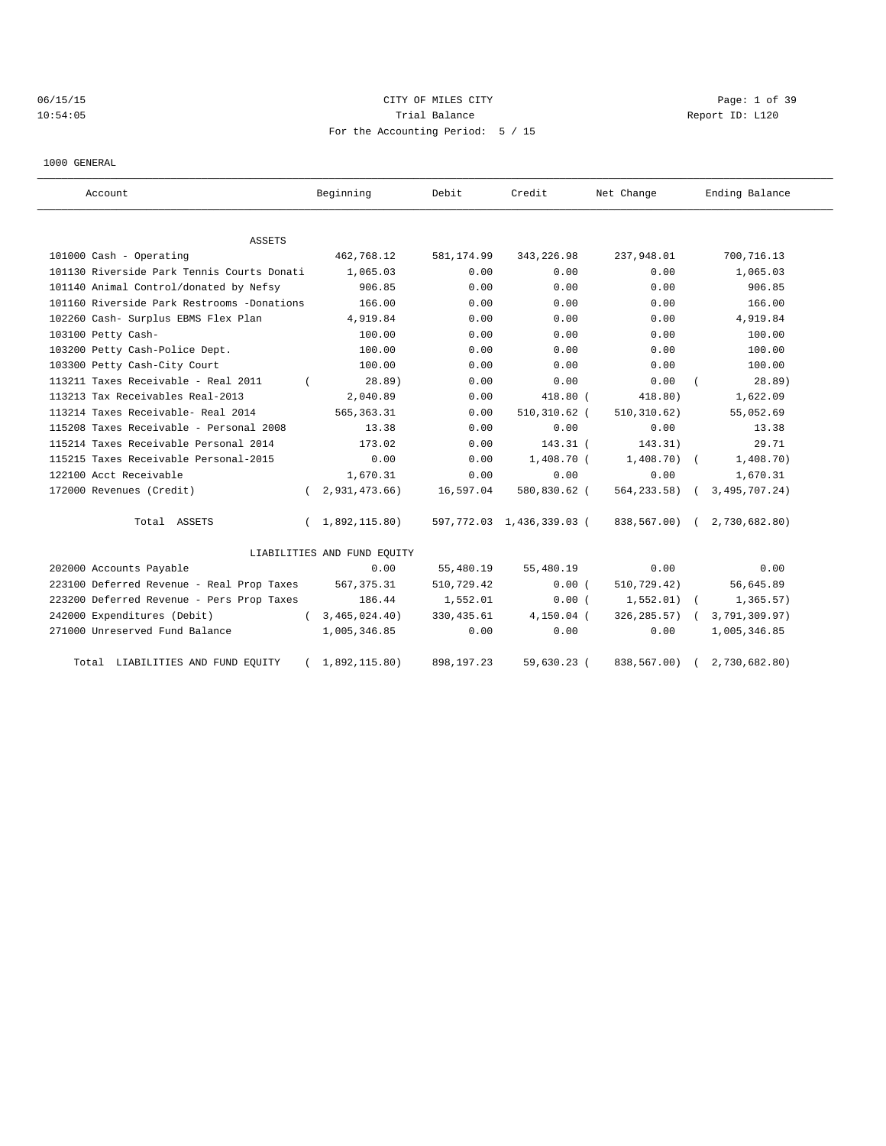# 06/15/15 Page: 1 of 39 10:54:05 Report ID: L120 For the Accounting Period: 5 / 15

1000 GENERAL

| Account                                    |            | Beginning                   | Debit       | Credit                    | Net Change      |      | Ending Balance              |
|--------------------------------------------|------------|-----------------------------|-------------|---------------------------|-----------------|------|-----------------------------|
| ASSETS                                     |            |                             |             |                           |                 |      |                             |
| 101000 Cash - Operating                    |            | 462,768.12                  | 581,174.99  | 343,226.98                | 237,948.01      |      | 700,716.13                  |
| 101130 Riverside Park Tennis Courts Donati |            | 1,065.03                    | 0.00        | 0.00                      |                 | 0.00 | 1,065.03                    |
| 101140 Animal Control/donated by Nefsy     |            | 906.85                      | 0.00        | 0.00                      |                 | 0.00 | 906.85                      |
| 101160 Riverside Park Restrooms -Donations |            | 166.00                      | 0.00        | 0.00                      |                 | 0.00 | 166.00                      |
| 102260 Cash- Surplus EBMS Flex Plan        |            | 4,919.84                    | 0.00        | 0.00                      |                 | 0.00 | 4,919.84                    |
| 103100 Petty Cash-                         |            | 100.00                      | 0.00        | 0.00                      |                 | 0.00 | 100.00                      |
| 103200 Petty Cash-Police Dept.             |            | 100.00                      | 0.00        | 0.00                      |                 | 0.00 | 100.00                      |
| 103300 Petty Cash-City Court               |            | 100.00                      | 0.00        | 0.00                      |                 | 0.00 | 100.00                      |
| 113211 Taxes Receivable - Real 2011        | $\sqrt{2}$ | 28.89)                      | 0.00        | 0.00                      |                 | 0.00 | 28.89)                      |
| 113213 Tax Receivables Real-2013           |            | 2,040.89                    | 0.00        | $418.80$ (                | 418.80)         |      | 1,622.09                    |
| 113214 Taxes Receivable- Real 2014         |            | 565, 363.31                 | 0.00        | $510, 310.62$ (           | 510, 310.62)    |      | 55,052.69                   |
| 115208 Taxes Receivable - Personal 2008    |            | 13.38                       | 0.00        | 0.00                      |                 | 0.00 | 13.38                       |
| 115214 Taxes Receivable Personal 2014      |            | 173.02                      | 0.00        | $143.31$ (                | 143.31)         |      | 29.71                       |
| 115215 Taxes Receivable Personal-2015      |            | 0.00                        | 0.00        | $1,408.70$ (              | $1,408.70$ (    |      | 1,408.70)                   |
| 122100 Acct Receivable                     |            | 1,670.31                    | 0.00        | 0.00                      |                 | 0.00 | 1,670.31                    |
| 172000 Revenues (Credit)                   | $\sqrt{2}$ | 2,931,473.66)               | 16,597.04   | 580,830.62 (              | 564,233.58) (   |      | 3, 495, 707. 24)            |
| Total ASSETS                               | $\sqrt{2}$ | 1,892,115.80)               |             | 597,772.03 1,436,339.03 ( |                 |      | 838,567.00) ( 2,730,682.80) |
|                                            |            | LIABILITIES AND FUND EOUITY |             |                           |                 |      |                             |
| 202000 Accounts Payable                    |            | 0.00                        | 55,480.19   | 55,480.19                 |                 | 0.00 | 0.00                        |
| 223100 Deferred Revenue - Real Prop Taxes  |            | 567,375.31                  | 510,729.42  | 0.00(                     | 510,729.42)     |      | 56,645.89                   |
| 223200 Deferred Revenue - Pers Prop Taxes  |            | 186.44                      | 1,552.01    | 0.00(                     | $1,552.01$ (    |      | 1, 365.57)                  |
| 242000 Expenditures (Debit)                | $\sqrt{2}$ | 3,465,024.40                | 330, 435.61 | $4,150.04$ (              | $326, 285.57$ ( |      | 3,791,309.97)               |
| 271000 Unreserved Fund Balance             |            | 1,005,346.85                | 0.00        | 0.00                      |                 | 0.00 | 1,005,346.85                |
| Total LIABILITIES AND FUND EQUITY          |            | 1,892,115.80)               | 898,197.23  | 59,630.23 (               | 838,567.00)     |      | 2,730,682.80)               |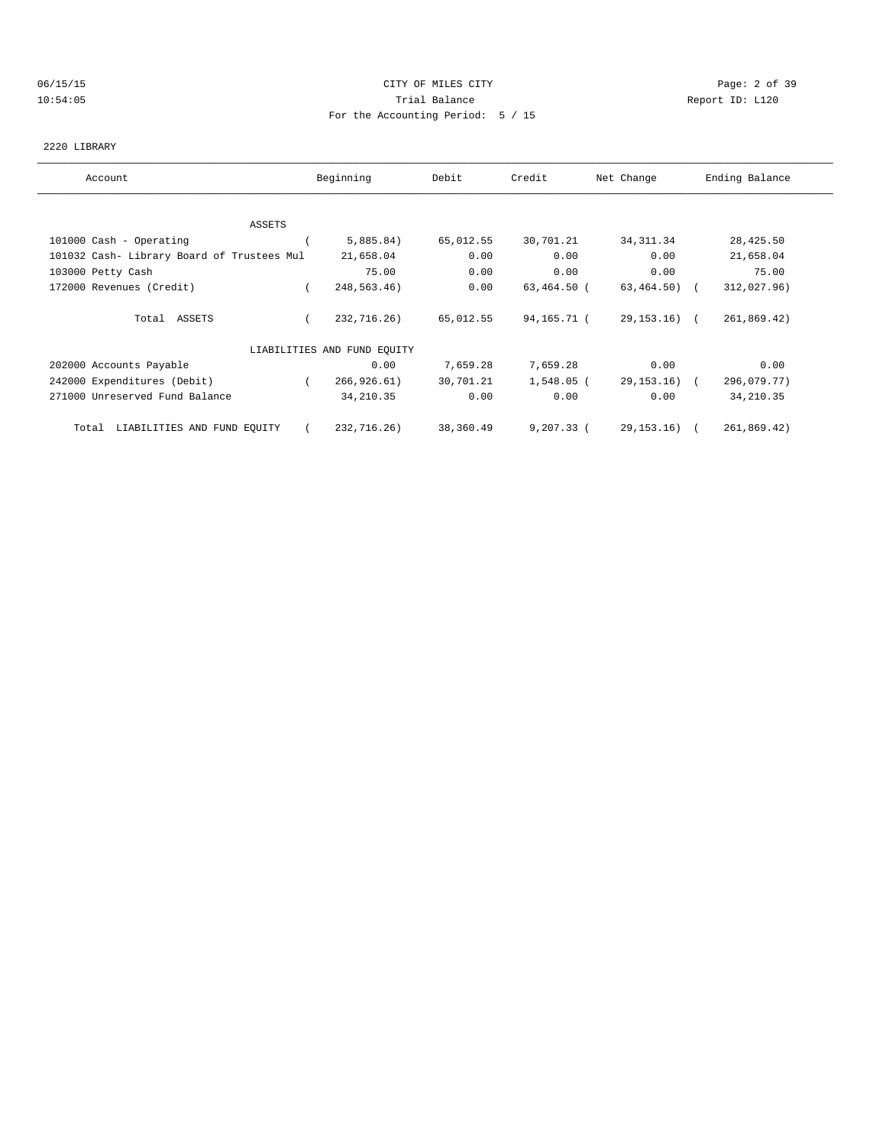### 06/15/15 CITY OF MILES CITY Page: 2 of 39 10:54:05 Trial Balance Report ID: L120 For the Accounting Period: 5 / 15

#### 2220 LIBRARY

| Account                                    | Beginning                   | Debit     | Credit       | Net Change    | Ending Balance |
|--------------------------------------------|-----------------------------|-----------|--------------|---------------|----------------|
|                                            |                             |           |              |               |                |
| ASSETS                                     |                             |           |              |               |                |
| 101000 Cash - Operating                    | 5,885.84)                   | 65,012.55 | 30,701.21    | 34, 311.34    | 28,425.50      |
| 101032 Cash- Library Board of Trustees Mul | 21,658.04                   | 0.00      | 0.00         | 0.00          | 21,658.04      |
| 103000 Petty Cash                          | 75.00                       | 0.00      | 0.00         | 0.00          | 75.00          |
| 172000 Revenues (Credit)                   | 248,563.46)                 | 0.00      | 63,464.50 (  | $63,464.50$ ( | 312,027.96)    |
| Total ASSETS                               | 232,716.26)                 | 65,012.55 | 94,165.71 (  | 29,153.16) (  | 261,869.42)    |
|                                            | LIABILITIES AND FUND EQUITY |           |              |               |                |
| 202000 Accounts Payable                    | 0.00                        | 7,659.28  | 7,659.28     | 0.00          | 0.00           |
| 242000 Expenditures (Debit)                | 266, 926.61)                | 30,701.21 | 1,548.05 (   | 29,153.16) (  | 296,079.77)    |
| 271000 Unreserved Fund Balance             | 34, 210.35                  | 0.00      | 0.00         | 0.00          | 34, 210.35     |
| LIABILITIES AND FUND EQUITY<br>Total       | 232,716.26)                 | 38,360.49 | $9,207,33$ ( | 29,153.16) (  | 261,869.42)    |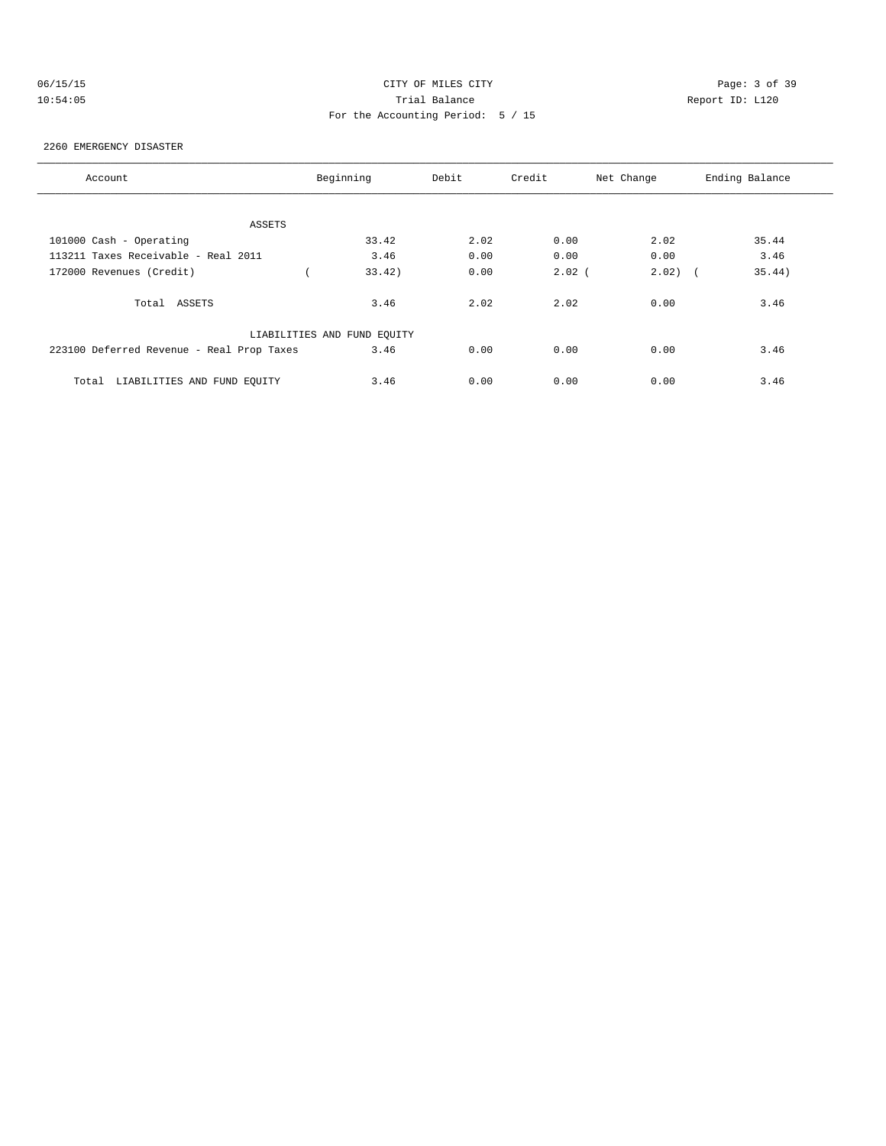| 06/15/15 |  |
|----------|--|
| 10:54:05 |  |

# CITY OF MILES CITY **CHANGE CITY** Page: 3 of 39 10:54:05 Report ID: L120 For the Accounting Period: 5 / 15

### 2260 EMERGENCY DISASTER

| Account                                   | Beginning                   | Debit | Credit   | Net Change | Ending Balance |
|-------------------------------------------|-----------------------------|-------|----------|------------|----------------|
|                                           |                             |       |          |            |                |
| ASSETS                                    |                             |       |          |            |                |
| 101000 Cash - Operating                   | 33.42                       | 2.02  | 0.00     | 2.02       | 35.44          |
| 113211 Taxes Receivable - Real 2011       | 3.46                        | 0.00  | 0.00     | 0.00       | 3.46           |
| 172000 Revenues (Credit)                  | 33.42                       | 0.00  | $2.02$ ( | $2.02)$ (  | 35.44)         |
| Total ASSETS                              | 3.46                        | 2.02  | 2.02     | 0.00       | 3.46           |
|                                           | LIABILITIES AND FUND EQUITY |       |          |            |                |
| 223100 Deferred Revenue - Real Prop Taxes | 3.46                        | 0.00  | 0.00     | 0.00       | 3.46           |
| LIABILITIES AND FUND EOUITY<br>Total      | 3.46                        | 0.00  | 0.00     | 0.00       | 3.46           |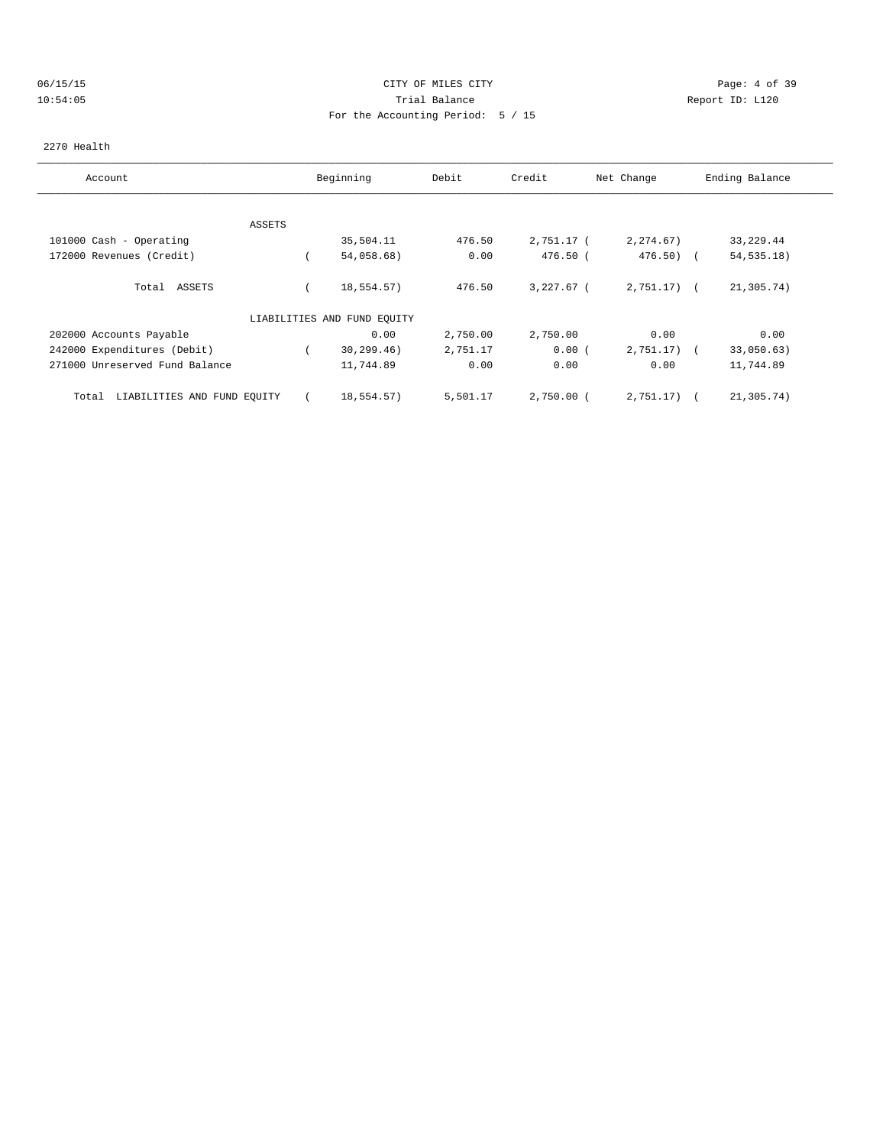# 06/15/15 CITY OF MILES CITY Page: 4 of 39 10:54:05 Trial Balance Report ID: L120 For the Accounting Period: 5 / 15

#### 2270 Health

| Account                              |        | Beginning                   | Debit    | Credit       | Net Change     | Ending Balance           |
|--------------------------------------|--------|-----------------------------|----------|--------------|----------------|--------------------------|
|                                      |        |                             |          |              |                |                          |
|                                      | ASSETS |                             |          |              |                |                          |
| 101000 Cash - Operating              |        | 35,504.11                   | 476.50   | 2,751.17 (   | 2, 274.67)     | 33, 229.44               |
| 172000 Revenues (Credit)             |        | 54,058.68)                  | 0.00     | 476.50 (     | $476.50$ (     | 54, 535.18)              |
| Total ASSETS                         |        | 18,554.57)                  | 476.50   | $3,227.67$ ( | $2,751.17$ ) ( | 21,305.74)               |
|                                      |        | LIABILITIES AND FUND EQUITY |          |              |                |                          |
| 202000 Accounts Payable              |        | 0.00                        | 2,750.00 | 2,750.00     | 0.00           | 0.00                     |
| 242000 Expenditures (Debit)          |        | 30, 299.46)                 | 2,751.17 | 0.00(        | 2,751.17)      | 33,050.63)<br>$\sqrt{2}$ |
| 271000 Unreserved Fund Balance       |        | 11,744.89                   | 0.00     | 0.00         | 0.00           | 11,744.89                |
| LIABILITIES AND FUND EQUITY<br>Total |        | 18,554.57)                  | 5,501.17 | $2,750.00$ ( | 2,751.17)      | 21,305.74)               |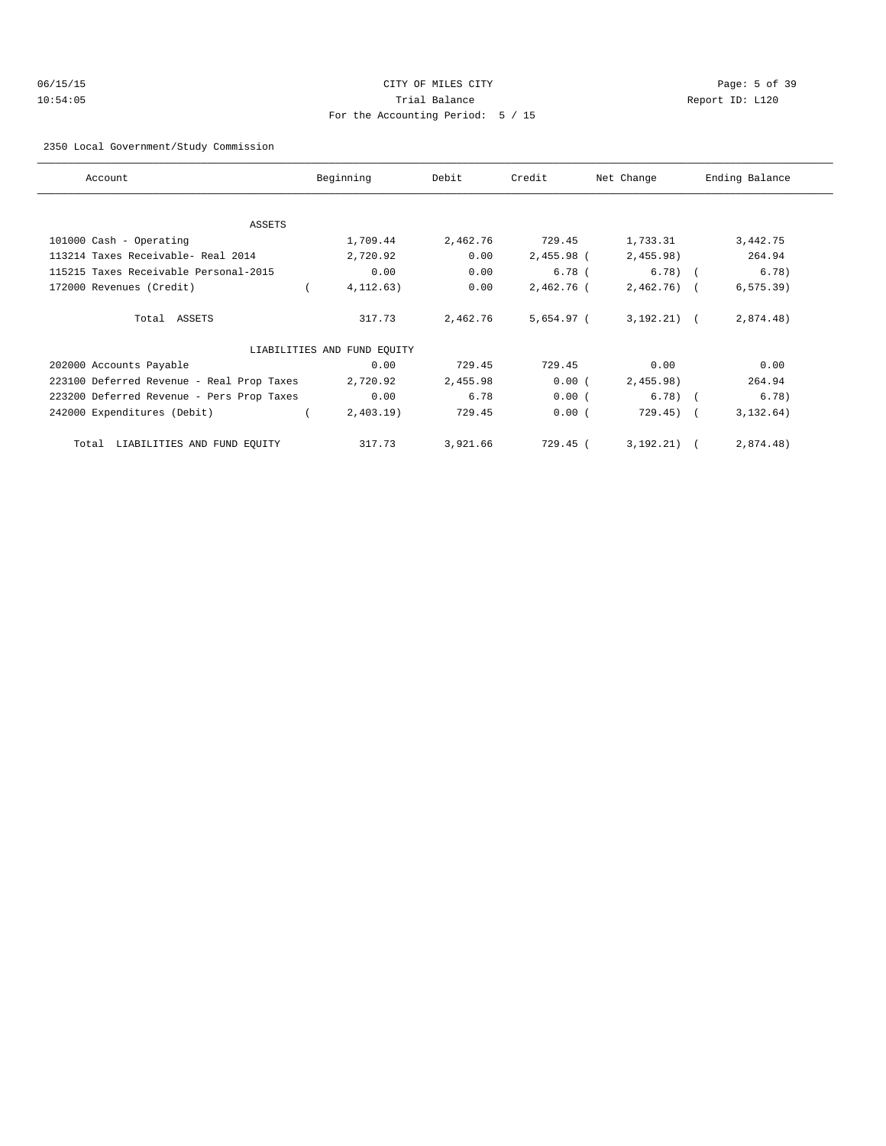# 06/15/15 CITY OF MILES CITY Page: 5 of 39 10:54:05 Trial Balance Report ID: L120 For the Accounting Period: 5 / 15

#### 2350 Local Government/Study Commission

| Account                                   | Beginning                   | Debit    | Credit     | Net Change   | Ending Balance |
|-------------------------------------------|-----------------------------|----------|------------|--------------|----------------|
|                                           |                             |          |            |              |                |
| ASSETS                                    |                             |          |            |              |                |
| 101000 Cash - Operating                   | 1,709.44                    | 2,462.76 | 729.45     | 1,733.31     | 3,442.75       |
| 113214 Taxes Receivable- Real 2014        | 2,720.92                    | 0.00     | 2,455.98 ( | 2,455.98)    | 264.94         |
| 115215 Taxes Receivable Personal-2015     | 0.00                        | 0.00     | $6.78$ (   | $6.78$ (     | 6.78)          |
| 172000 Revenues (Credit)                  | 4, 112.63)                  | 0.00     | 2,462.76 ( | $2,462.76$ ( | $6, 575.39$ )  |
| Total ASSETS                              | 317.73                      | 2,462.76 | 5,654.97 ( | $3,192,21$ ( | 2,874.48)      |
|                                           | LIABILITIES AND FUND EQUITY |          |            |              |                |
| 202000 Accounts Payable                   | 0.00                        | 729.45   | 729.45     | 0.00         | 0.00           |
| 223100 Deferred Revenue - Real Prop Taxes | 2,720.92                    | 2,455.98 | 0.00(      | 2,455.98)    | 264.94         |
| 223200 Deferred Revenue - Pers Prop Taxes | 0.00                        | 6.78     | 0.00(      | $6.78$ ) (   | 6.78)          |
| 242000 Expenditures (Debit)               | $2,403.19$ )                | 729.45   | 0.00(      | $729.45$ ) ( | 3, 132.64)     |
| Total LIABILITIES AND FUND EQUITY         | 317.73                      | 3,921.66 | 729.45 (   | 3, 192, 21)  | 2,874.48)      |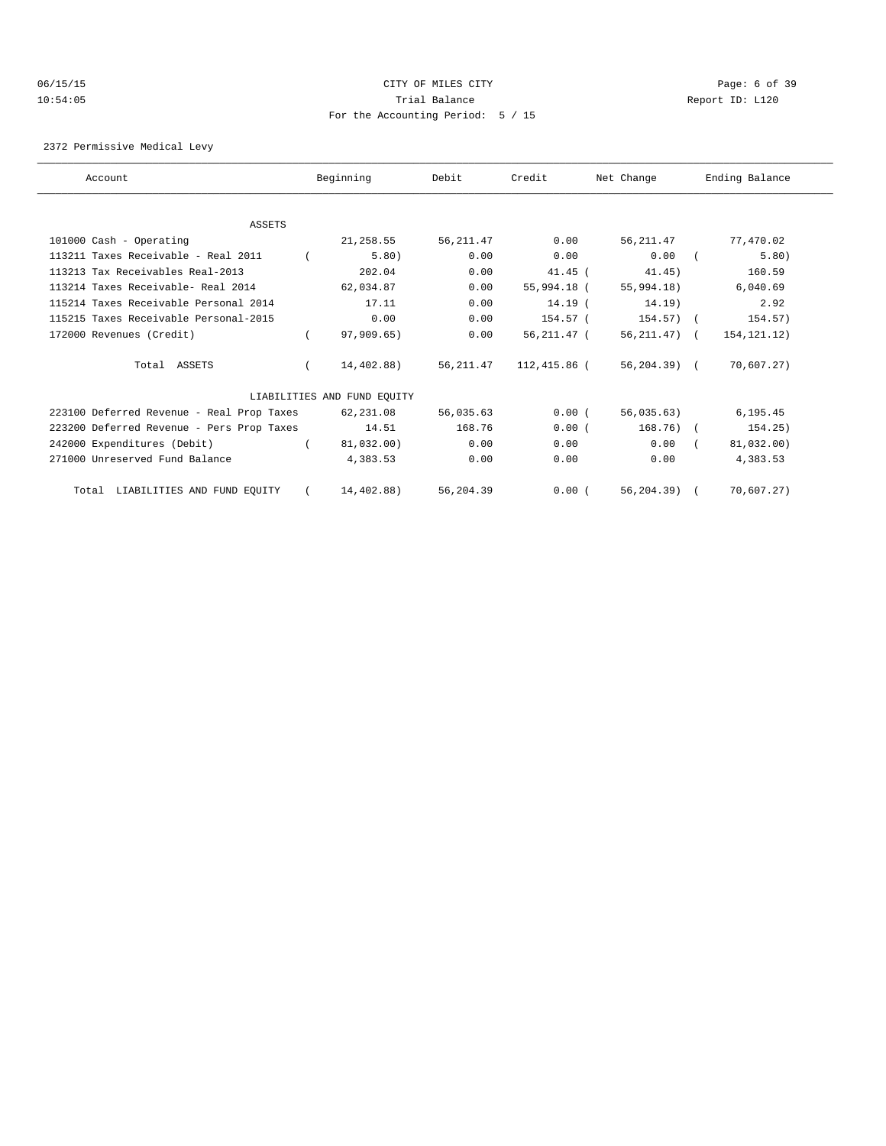### 06/15/15 CITY OF MILES CITY Page: 6 of 39 10:54:05 Trial Balance Report ID: L120 For the Accounting Period: 5 / 15

2372 Permissive Medical Levy

| Account                                   | Beginning                   | Debit     | Credit             | Net Change     | Ending Balance |
|-------------------------------------------|-----------------------------|-----------|--------------------|----------------|----------------|
|                                           |                             |           |                    |                |                |
| <b>ASSETS</b>                             |                             |           |                    |                |                |
| 101000 Cash - Operating                   | 21,258.55                   | 56,211.47 | 0.00               | 56,211.47      | 77,470.02      |
| 113211 Taxes Receivable - Real 2011       | 5.80)                       | 0.00      | 0.00               | 0.00           | 5.80)          |
| 113213 Tax Receivables Real-2013          | 202.04                      | 0.00      | $41.45$ (          | 41.45)         | 160.59         |
| 113214 Taxes Receivable- Real 2014        | 62,034.87                   | 0.00      | 55,994.18 (        | 55,994.18)     | 6,040.69       |
| 115214 Taxes Receivable Personal 2014     | 17.11                       | 0.00      | 14.19 <sup>7</sup> | $14.19$ )      | 2.92           |
| 115215 Taxes Receivable Personal-2015     | 0.00                        | 0.00      | 154.57 (           | 154.57) (      | 154.57)        |
| 172000 Revenues (Credit)                  | 97,909.65)                  | 0.00      | 56,211.47 (        | 56,211.47) (   | 154, 121. 12)  |
| Total ASSETS                              | 14,402.88)                  | 56,211.47 | 112,415.86 (       | 56,204.39) (   | 70,607.27)     |
|                                           | LIABILITIES AND FUND EOUITY |           |                    |                |                |
| 223100 Deferred Revenue - Real Prop Taxes | 62,231.08                   | 56,035.63 | 0.00(              | 56,035.63)     | 6,195.45       |
| 223200 Deferred Revenue - Pers Prop Taxes | 14.51                       | 168.76    | 0.00(              | 168.76) (      | 154.25)        |
| 242000 Expenditures (Debit)               | 81,032.00)                  | 0.00      | 0.00               | 0.00           | 81,032.00)     |
| 271000 Unreserved Fund Balance            | 4,383.53                    | 0.00      | 0.00               | 0.00           | 4,383.53       |
| Total LIABILITIES AND FUND EQUITY         | 14,402.88)                  | 56,204.39 | 0.00(              | $56, 204.39$ ( | 70,607.27)     |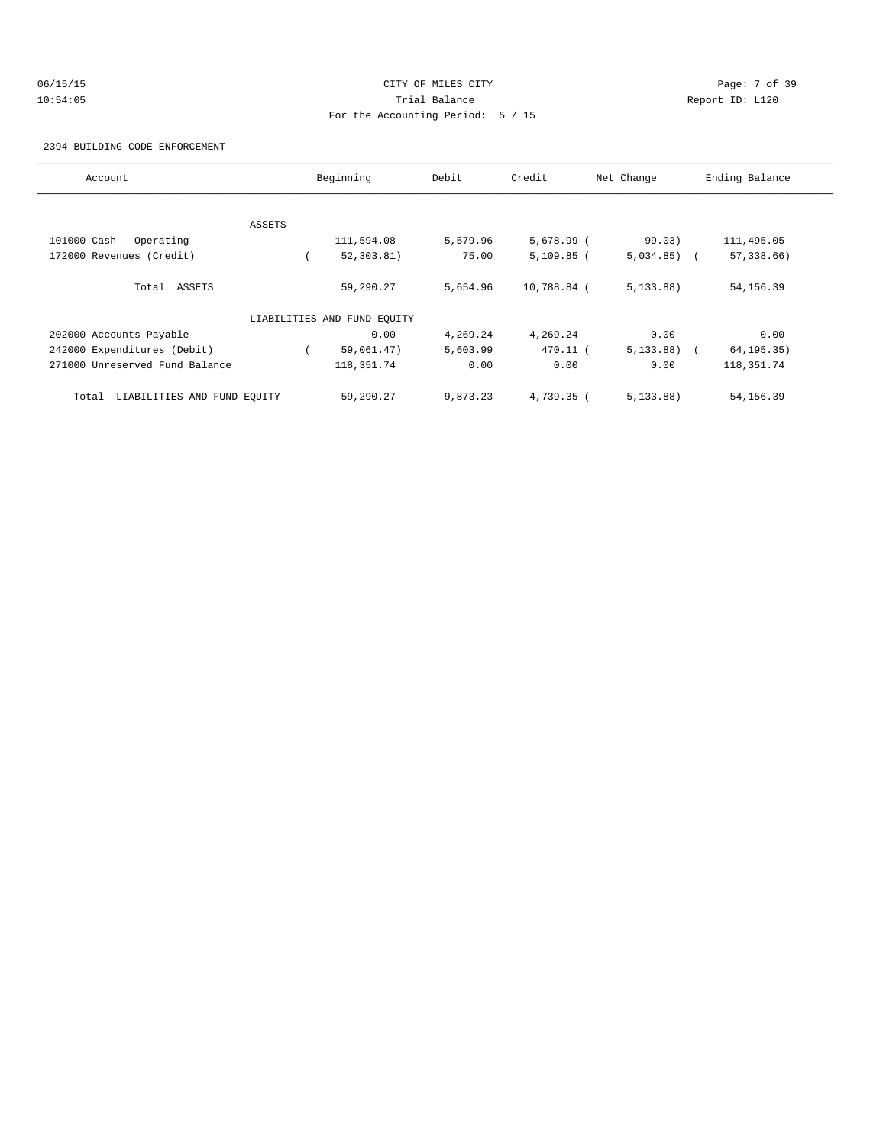# 06/15/15 CITY OF MILES CITY Page: 7 of 39 10:54:05 Trial Balance Report ID: L120 For the Accounting Period: 5 / 15

2394 BUILDING CODE ENFORCEMENT

| Account                              |        | Beginning                   | Debit    | Credit       | Net Change   | Ending Balance |
|--------------------------------------|--------|-----------------------------|----------|--------------|--------------|----------------|
|                                      |        |                             |          |              |              |                |
|                                      | ASSETS |                             |          |              |              |                |
| 101000 Cash - Operating              |        | 111,594.08                  | 5,579.96 | $5,678.99$ ( | 99.03)       | 111,495.05     |
| 172000 Revenues (Credit)             |        | 52, 303.81)                 | 75.00    | $5,109.85$ ( | $5,034.85$ ( | 57,338.66)     |
| Total ASSETS                         |        | 59,290.27                   | 5,654.96 | 10,788.84 (  | 5, 133.88)   | 54, 156.39     |
|                                      |        | LIABILITIES AND FUND EQUITY |          |              |              |                |
| 202000 Accounts Payable              |        | 0.00                        | 4,269.24 | 4,269.24     | 0.00         | 0.00           |
| 242000 Expenditures (Debit)          |        | 59,061.47)                  | 5,603.99 | 470.11 (     | 5,133.88)    | 64, 195. 35)   |
| 271000 Unreserved Fund Balance       |        | 118, 351. 74                | 0.00     | 0.00         | 0.00         | 118,351.74     |
| LIABILITIES AND FUND EQUITY<br>Total |        | 59,290.27                   | 9,873.23 | 4,739.35 (   | 5, 133.88)   | 54, 156.39     |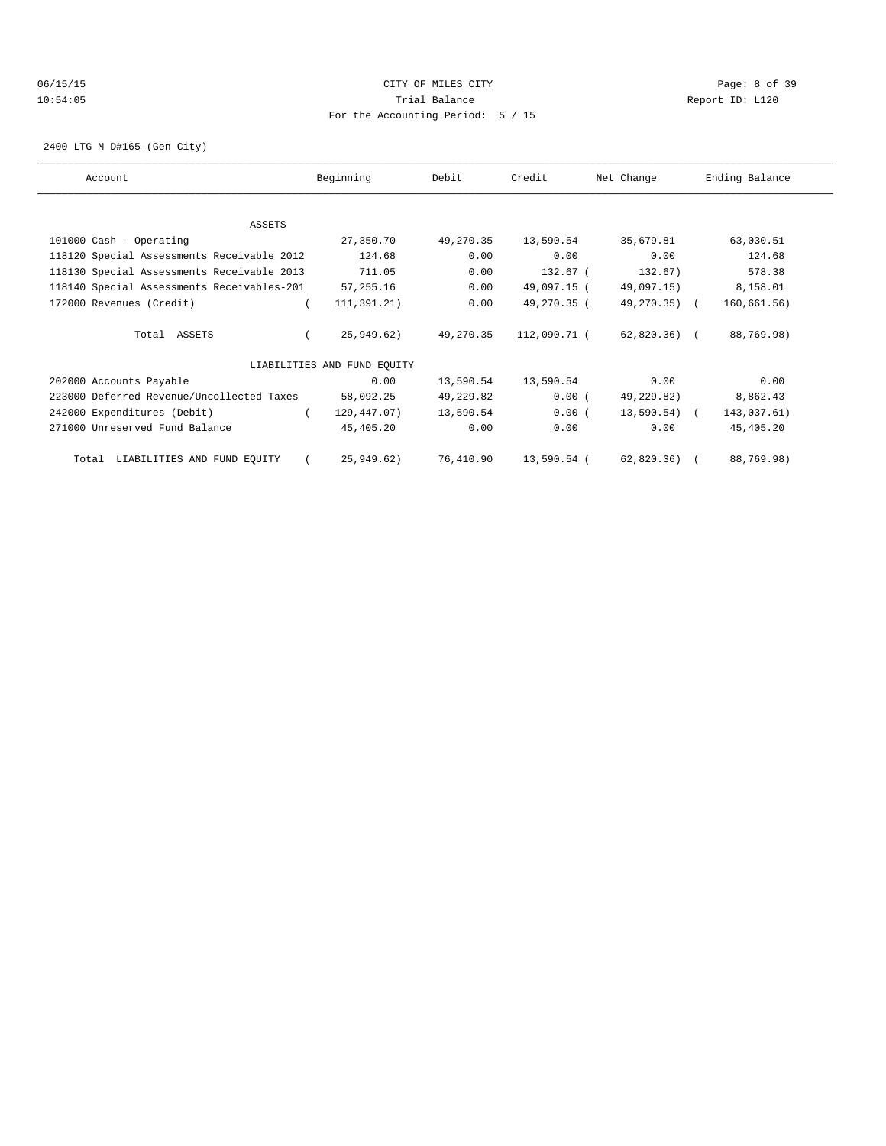# 06/15/15 CITY OF MILES CITY Page: 8 of 39 10:54:05 Trial Balance Report ID: L120 For the Accounting Period: 5 / 15

2400 LTG M D#165-(Gen City)

| Account                                    | Beginning                   | Debit     | Credit       | Net Change      | Ending Balance |
|--------------------------------------------|-----------------------------|-----------|--------------|-----------------|----------------|
|                                            |                             |           |              |                 |                |
|                                            |                             |           |              |                 |                |
| ASSETS                                     |                             |           |              |                 |                |
| 101000 Cash - Operating                    | 27,350.70                   | 49,270.35 | 13,590.54    | 35,679.81       | 63,030.51      |
| 118120 Special Assessments Receivable 2012 | 124.68                      | 0.00      | 0.00         | 0.00            | 124.68         |
| 118130 Special Assessments Receivable 2013 | 711.05                      | 0.00      | 132.67 (     | 132.67)         | 578.38         |
| 118140 Special Assessments Receivables-201 | 57,255.16                   | 0.00      | 49,097.15 (  | 49,097.15)      | 8,158.01       |
| 172000 Revenues (Credit)                   | 111,391.21)                 | 0.00      | 49,270.35 (  | 49,270.35) (    | 160, 661.56)   |
|                                            |                             |           |              |                 |                |
| Total ASSETS                               | 25,949.62)                  | 49,270.35 | 112,090.71 ( | 62,820.36) (    | 88,769.98)     |
|                                            | LIABILITIES AND FUND EOUITY |           |              |                 |                |
| 202000 Accounts Payable                    | 0.00                        | 13,590.54 | 13,590.54    | 0.00            | 0.00           |
| 223000 Deferred Revenue/Uncollected Taxes  | 58,092.25                   | 49,229.82 | $0.00$ (     | 49,229.82)      | 8,862.43       |
| 242000 Expenditures (Debit)                | 129,447.07)                 | 13,590.54 | 0.00(        | $13,590.54$ ) ( | 143,037.61)    |
| 271000 Unreserved Fund Balance             | 45,405.20                   | 0.00      | 0.00         | 0.00            | 45,405.20      |
|                                            |                             |           |              |                 |                |
| LIABILITIES AND FUND EQUITY<br>Total       | 25,949.62)                  | 76,410.90 | 13,590.54 (  | 62,820.36) (    | 88,769.98)     |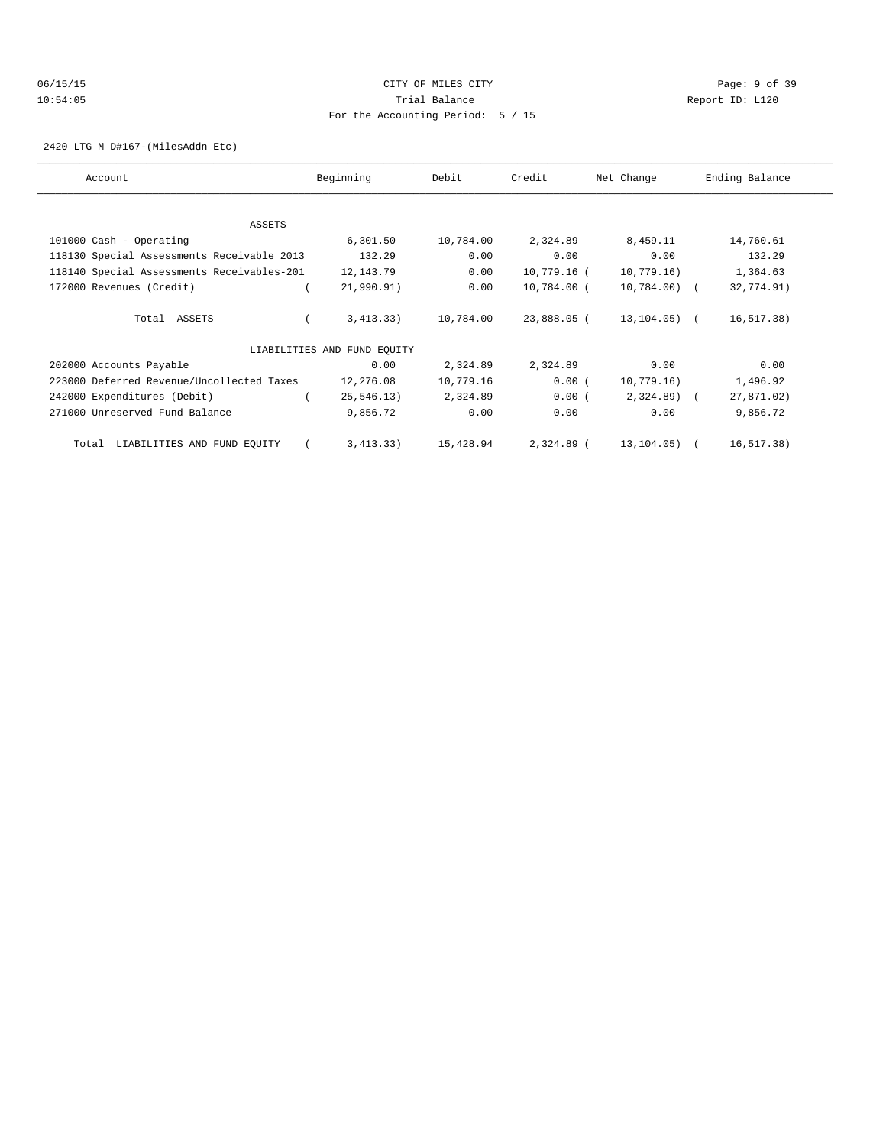# 06/15/15 CITY OF MILES CITY Page: 9 of 39 10:54:05 Trial Balance Report ID: L120 For the Accounting Period: 5 / 15

2420 LTG M D#167-(MilesAddn Etc)

| Account                                    | Beginning                   | Debit     | Credit      | Net Change    | Ending Balance |
|--------------------------------------------|-----------------------------|-----------|-------------|---------------|----------------|
|                                            |                             |           |             |               |                |
| ASSETS                                     |                             |           |             |               |                |
| 101000 Cash - Operating                    | 6,301.50                    | 10,784.00 | 2,324.89    | 8,459.11      | 14,760.61      |
| 118130 Special Assessments Receivable 2013 | 132.29                      | 0.00      | 0.00        | 0.00          | 132.29         |
| 118140 Special Assessments Receivables-201 | 12, 143.79                  | 0.00      | 10,779.16 ( | 10,779.16)    | 1,364.63       |
| 172000 Revenues (Credit)                   | 21,990.91)                  | 0.00      | 10,784.00 ( | $10,784.00$ ( | 32,774.91)     |
| Total ASSETS                               | 3,413.33)                   | 10,784.00 | 23,888.05 ( | 13,104.05) (  | 16, 517.38)    |
|                                            | LIABILITIES AND FUND EQUITY |           |             |               |                |
| 202000 Accounts Payable                    | 0.00                        | 2,324.89  | 2,324.89    | 0.00          | 0.00           |
| 223000 Deferred Revenue/Uncollected Taxes  | 12,276.08                   | 10,779.16 | 0.00(       | 10,779.16)    | 1,496.92       |
| 242000 Expenditures (Debit)                | 25, 546.13)                 | 2,324.89  | 0.00(       | $2,324.89$ (  | 27,871.02)     |
| 271000 Unreserved Fund Balance             | 9,856.72                    | 0.00      | 0.00        | 0.00          | 9,856.72       |
| LIABILITIES AND FUND EQUITY<br>Total       | 3,413.33)                   | 15,428.94 | 2,324.89 (  | 13,104.05) (  | 16,517.38)     |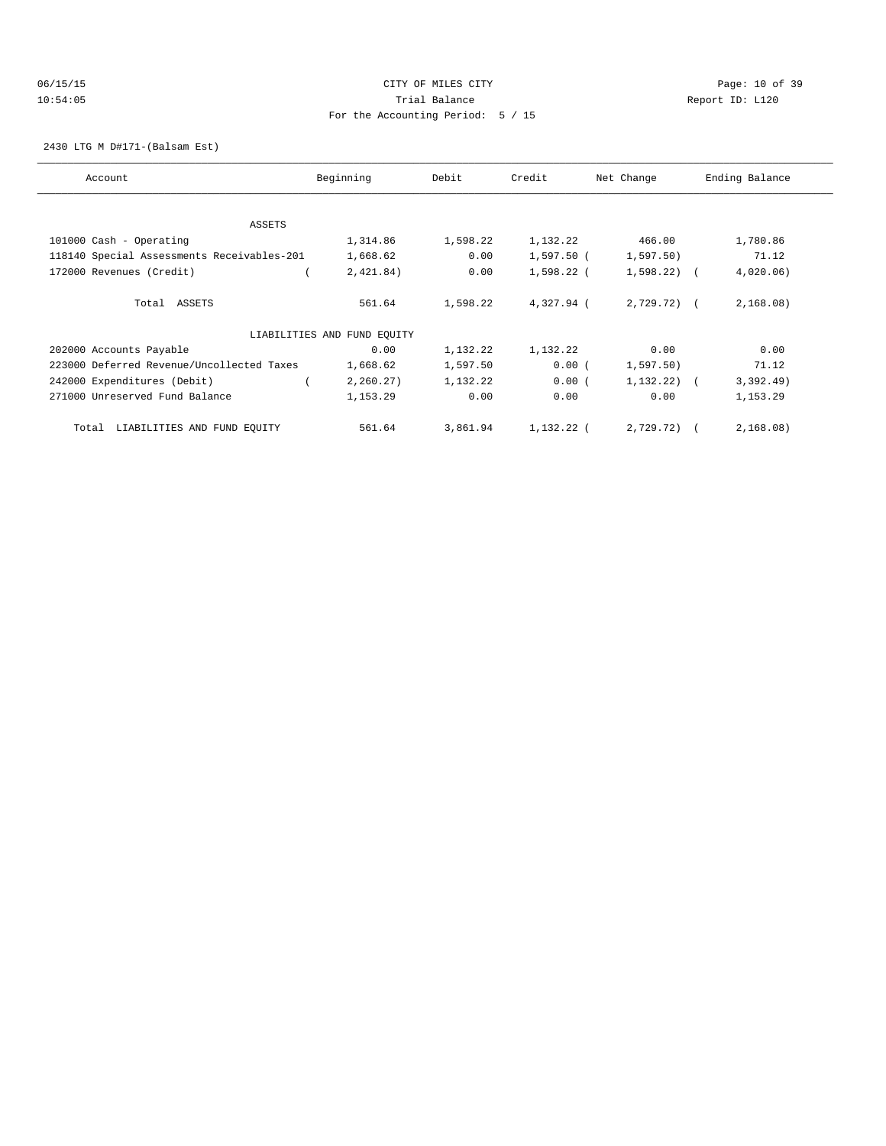### 06/15/15 CITY OF MILES CITY Page: 10 of 39 10:54:05 Trial Balance Report ID: L120 For the Accounting Period: 5 / 15

2430 LTG M D#171-(Balsam Est)

| Account                                    | Beginning                   | Debit    | Credit     | Net Change    | Ending Balance |
|--------------------------------------------|-----------------------------|----------|------------|---------------|----------------|
|                                            |                             |          |            |               |                |
| <b>ASSETS</b>                              |                             |          |            |               |                |
| 101000 Cash - Operating                    | 1,314.86                    | 1,598.22 | 1,132.22   | 466.00        | 1,780.86       |
| 118140 Special Assessments Receivables-201 | 1,668.62                    | 0.00     | 1,597.50 ( | 1,597.50      | 71.12          |
| 172000 Revenues (Credit)                   | 2,421.84)                   | 0.00     | 1,598.22 ( | $1,598.22$ (  | 4,020.06)      |
| Total ASSETS                               | 561.64                      | 1,598.22 | 4,327.94 ( | 2,729.72) (   | 2,168.08)      |
|                                            | LIABILITIES AND FUND EQUITY |          |            |               |                |
| 202000 Accounts Payable                    | 0.00                        | 1,132.22 | 1,132.22   | 0.00          | 0.00           |
| 223000 Deferred Revenue/Uncollected Taxes  | 1,668.62                    | 1,597.50 | 0.00(      | 1,597.50      | 71.12          |
| 242000 Expenditures (Debit)                | 2, 260.27)                  | 1,132.22 | 0.00(      | $1,132.22)$ ( | 3,392.49)      |
| 271000 Unreserved Fund Balance             | 1,153.29                    | 0.00     | 0.00       | 0.00          | 1,153.29       |
| Total LIABILITIES AND FUND EQUITY          | 561.64                      | 3,861.94 | 1,132.22 ( | 2,729.72) (   | 2,168.08)      |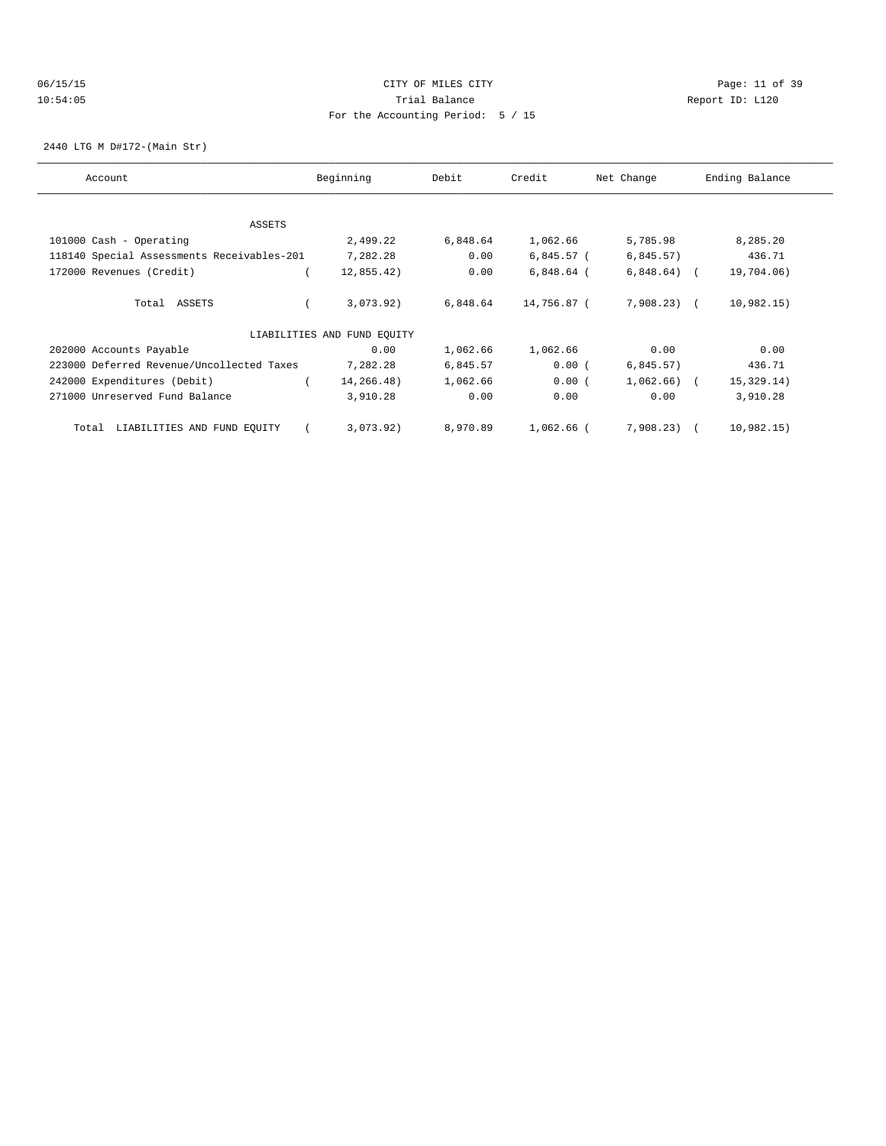### 06/15/15 Page: 11 of 39 10:54:05 Trial Balance Report ID: L120 For the Accounting Period: 5 / 15

2440 LTG M D#172-(Main Str)

| Account                                    | Beginning                   | Debit    | Credit       | Net Change     | Ending Balance |
|--------------------------------------------|-----------------------------|----------|--------------|----------------|----------------|
|                                            |                             |          |              |                |                |
| ASSETS                                     |                             |          |              |                |                |
| 101000 Cash - Operating                    | 2,499.22                    | 6,848.64 | 1,062.66     | 5,785.98       | 8,285.20       |
| 118140 Special Assessments Receivables-201 | 7,282.28                    | 0.00     | 6,845.57 (   | 6,845.57)      | 436.71         |
| 172000 Revenues (Credit)                   | 12,855.42)                  | 0.00     | $6,848.64$ ( | $6,848.64$ (   | 19,704.06)     |
| Total ASSETS                               | 3,073.92)                   | 6,848.64 | 14,756.87 (  | 7,908.23) (    | 10,982.15)     |
|                                            | LIABILITIES AND FUND EQUITY |          |              |                |                |
| 202000 Accounts Payable                    | 0.00                        | 1,062.66 | 1,062.66     | 0.00           | 0.00           |
| 223000 Deferred Revenue/Uncollected Taxes  | 7,282.28                    | 6,845.57 | 0.00(        | 6,845.57)      | 436.71         |
| 242000 Expenditures (Debit)                | 14,266.48)                  | 1,062.66 | 0.00(        | $1,062.66$ ) ( | 15,329.14)     |
| 271000 Unreserved Fund Balance             | 3,910.28                    | 0.00     | 0.00         | 0.00           | 3,910.28       |
| LIABILITIES AND FUND EQUITY<br>Total       | 3,073.92)                   | 8,970.89 | 1,062.66 (   | 7,908.23) (    | 10,982.15)     |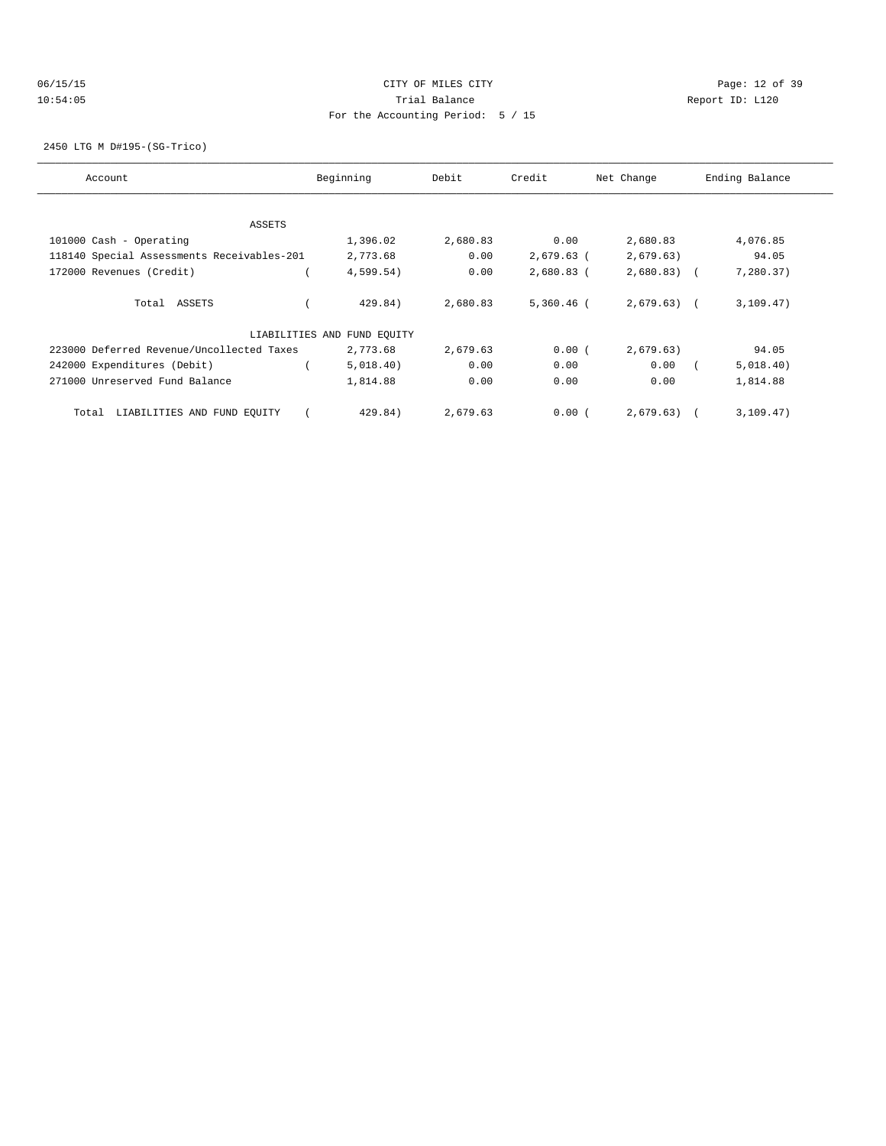# 06/15/15 Page: 12 of 39 10:54:05 Trial Balance Report ID: L120 For the Accounting Period: 5 / 15

2450 LTG M D#195-(SG-Trico)

| Account                                    | Beginning                   | Debit    | Credit       | Net Change   | Ending Balance |
|--------------------------------------------|-----------------------------|----------|--------------|--------------|----------------|
|                                            |                             |          |              |              |                |
| ASSETS                                     |                             |          |              |              |                |
| 101000 Cash - Operating                    | 1,396.02                    | 2,680.83 | 0.00         | 2,680.83     | 4,076.85       |
| 118140 Special Assessments Receivables-201 | 2,773.68                    | 0.00     | $2,679.63$ ( | 2,679.63)    | 94.05          |
| 172000 Revenues (Credit)                   | 4,599.54)                   | 0.00     | $2,680.83$ ( | $2,680.83$ ( | 7,280.37)      |
|                                            |                             |          |              |              |                |
| Total ASSETS                               | 429.84)                     | 2,680.83 | $5,360.46$ ( | $2,679.63$ ( | 3, 109.47)     |
|                                            | LIABILITIES AND FUND EQUITY |          |              |              |                |
| 223000 Deferred Revenue/Uncollected Taxes  | 2,773.68                    | 2,679.63 | 0.00(        | 2,679.63)    | 94.05          |
| 242000 Expenditures (Debit)                | 5,018.40)                   | 0.00     | 0.00         | 0.00         | 5,018.40)      |
| 271000 Unreserved Fund Balance             | 1,814.88                    | 0.00     | 0.00         | 0.00         | 1,814.88       |
| LIABILITIES AND FUND EQUITY<br>Total       | 429.84)                     | 2,679.63 | 0.00(        | 2,679.63)    | 3,109.47)      |
|                                            |                             |          |              |              |                |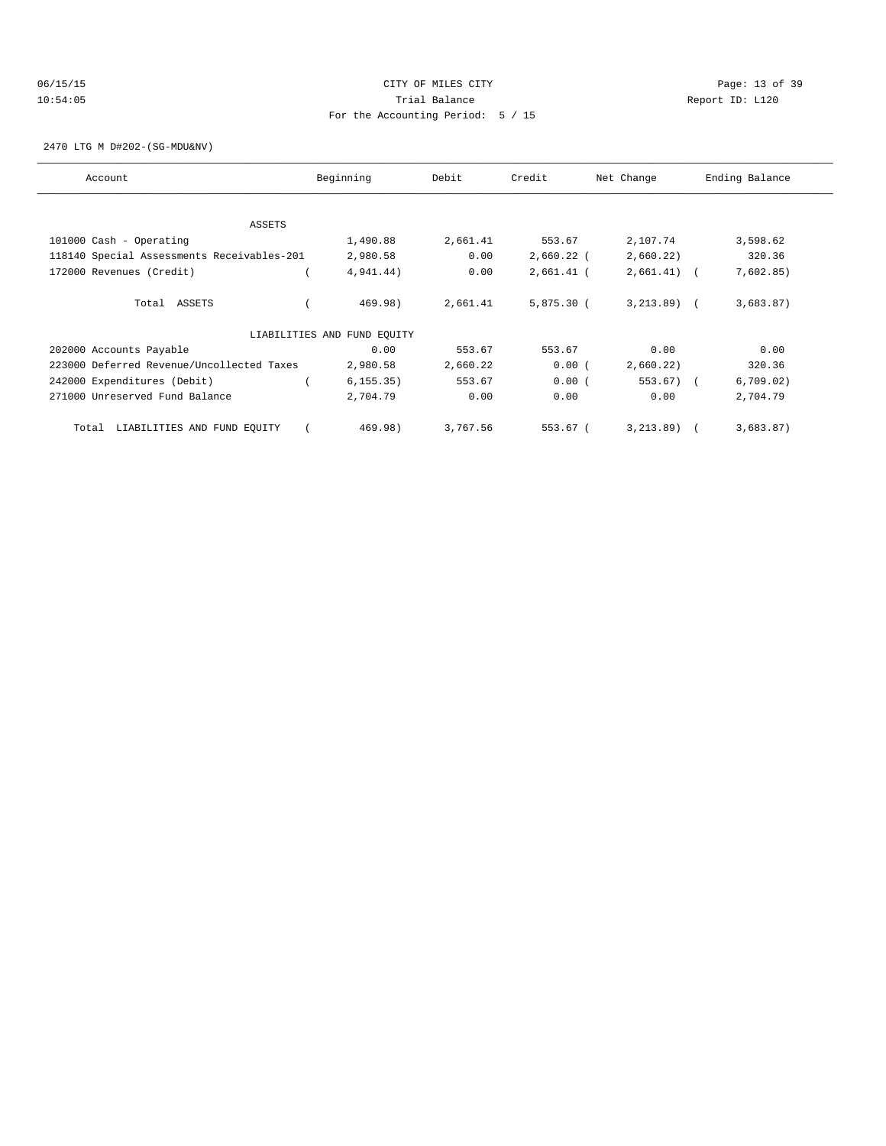### 06/15/15 Page: 13 of 39 10:54:05 Trial Balance Report ID: L120 For the Accounting Period: 5 / 15

2470 LTG M D#202-(SG-MDU&NV)

| Account                                    | Beginning                   | Debit    | Credit       | Net Change    | Ending Balance |
|--------------------------------------------|-----------------------------|----------|--------------|---------------|----------------|
| ASSETS                                     |                             |          |              |               |                |
| 101000 Cash - Operating                    | 1,490.88                    | 2,661.41 | 553.67       | 2,107.74      | 3,598.62       |
| 118140 Special Assessments Receivables-201 | 2,980.58                    | 0.00     | $2,660.22$ ( | 2,660.22)     | 320.36         |
| 172000 Revenues (Credit)                   | 4,941.44)                   | 0.00     | $2,661.41$ ( | $2,661.41$ (  | 7,602.85)      |
| Total ASSETS                               | 469.98)                     | 2,661.41 | 5,875.30 (   | $3, 213.89$ ( | 3,683.87)      |
|                                            | LIABILITIES AND FUND EQUITY |          |              |               |                |
| 202000 Accounts Payable                    | 0.00                        | 553.67   | 553.67       | 0.00          | 0.00           |
| 223000 Deferred Revenue/Uncollected Taxes  | 2,980.58                    | 2,660.22 | 0.00(        | 2,660.22)     | 320.36         |
| 242000 Expenditures (Debit)                | 6, 155.35)                  | 553.67   | 0.00(        | $553.67$ (    | 6,709.02)      |
| 271000 Unreserved Fund Balance             | 2,704.79                    | 0.00     | 0.00         | 0.00          | 2,704.79       |
| LIABILITIES AND FUND EQUITY<br>Total       | 469.98)                     | 3,767.56 | 553.67 (     | 3, 213, 89)   | 3,683.87)      |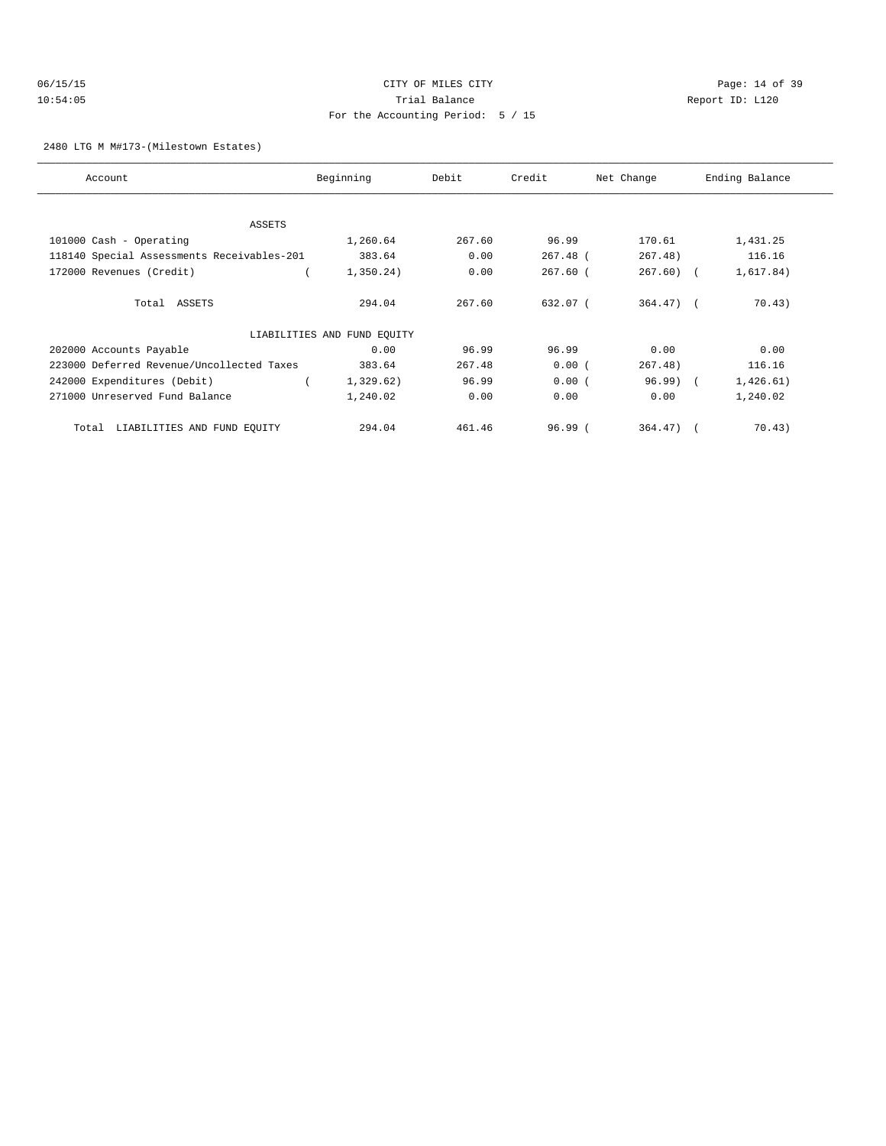### 06/15/15 CITY OF MILES CITY Page: 14 of 39 10:54:05 Trial Balance Report ID: L120 For the Accounting Period: 5 / 15

2480 LTG M M#173-(Milestown Estates)

| Account                                    | Beginning                   | Debit  | Credit     | Net Change   | Ending Balance |
|--------------------------------------------|-----------------------------|--------|------------|--------------|----------------|
|                                            |                             |        |            |              |                |
| ASSETS                                     |                             |        |            |              |                |
| 101000 Cash - Operating                    | 1,260.64                    | 267.60 | 96.99      | 170.61       | 1,431.25       |
| 118140 Special Assessments Receivables-201 | 383.64                      | 0.00   | $267.48$ ( | 267.48)      | 116.16         |
| 172000 Revenues (Credit)                   | 1,350.24)                   | 0.00   | $267.60$ ( | $267.60$ ) ( | 1,617.84)      |
| Total ASSETS                               | 294.04                      | 267.60 | 632.07 (   | $364.47$ ) ( | 70.43)         |
|                                            | LIABILITIES AND FUND EQUITY |        |            |              |                |
| 202000 Accounts Payable                    | 0.00                        | 96.99  | 96.99      | 0.00         | 0.00           |
| 223000 Deferred Revenue/Uncollected Taxes  | 383.64                      | 267.48 | 0.00(      | 267.48)      | 116.16         |
| 242000 Expenditures (Debit)                | 1,329.62)                   | 96.99  | 0.00(      | $96.99$ (    | 1,426.61)      |
| 271000 Unreserved Fund Balance             | 1,240.02                    | 0.00   | 0.00       | 0.00         | 1,240.02       |
| LIABILITIES AND FUND EQUITY<br>Total       | 294.04                      | 461.46 | 96.99(     | $364.47$ ) ( | 70.43)         |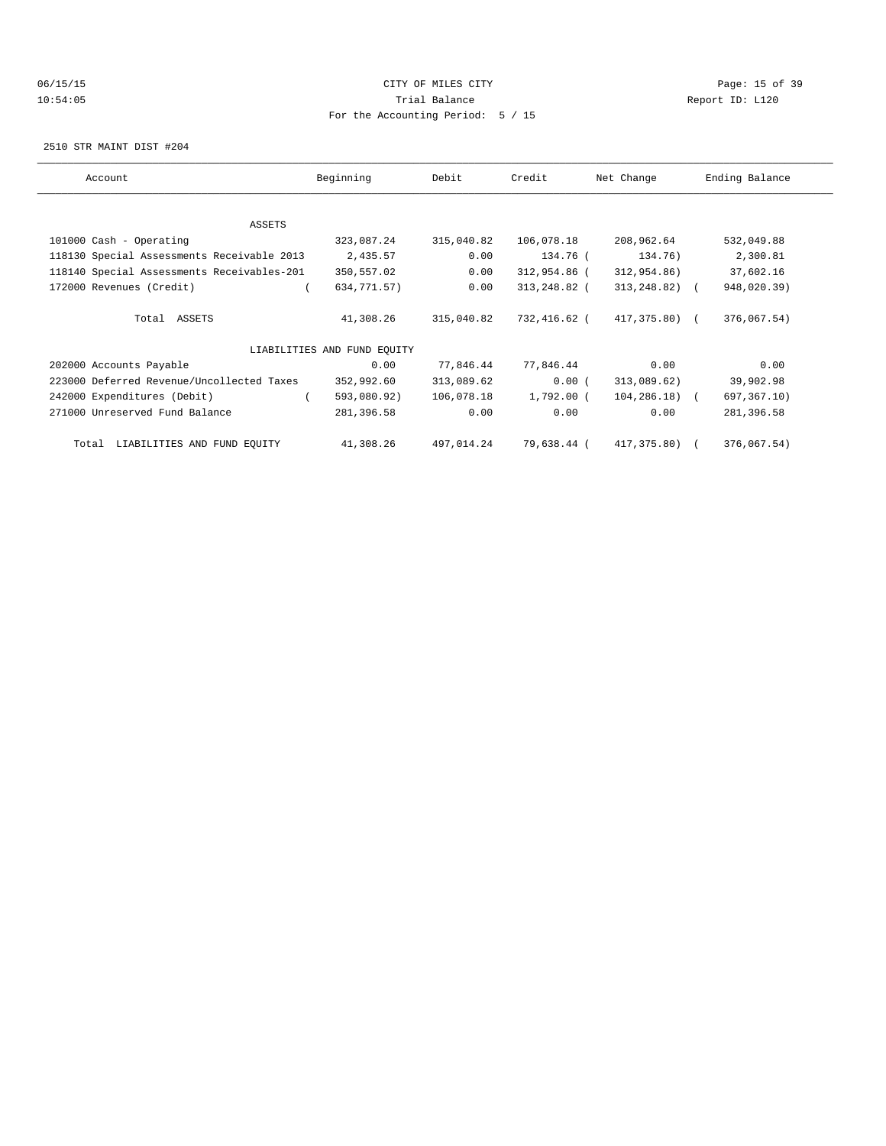# 06/15/15 Page: 15 of 39 10:54:05 Trial Balance Report ID: L120 For the Accounting Period: 5 / 15

2510 STR MAINT DIST #204

| Account                                    | Beginning                   | Debit      | Credit       | Net Change        | Ending Balance |
|--------------------------------------------|-----------------------------|------------|--------------|-------------------|----------------|
|                                            |                             |            |              |                   |                |
| ASSETS                                     |                             |            |              |                   |                |
| 101000 Cash - Operating                    | 323,087.24                  | 315,040.82 | 106,078.18   | 208,962.64        | 532,049.88     |
| 118130 Special Assessments Receivable 2013 | 2,435.57                    | 0.00       | 134.76 (     | 134.76)           | 2,300.81       |
| 118140 Special Assessments Receivables-201 | 350,557.02                  | 0.00       | 312,954.86 ( | 312,954.86)       | 37,602.16      |
| 172000 Revenues (Credit)                   | 634,771.57)                 | 0.00       | 313,248.82 ( | $313, 248.82$ ) ( | 948,020.39)    |
|                                            |                             |            |              |                   |                |
| Total ASSETS                               | 41,308.26                   | 315,040.82 | 732,416.62 ( | 417,375.80) (     | 376,067.54)    |
|                                            |                             |            |              |                   |                |
|                                            | LIABILITIES AND FUND EOUITY |            |              |                   |                |
| 202000 Accounts Payable                    | 0.00                        | 77,846.44  | 77,846.44    | 0.00              | 0.00           |
| 223000 Deferred Revenue/Uncollected Taxes  | 352,992.60                  | 313,089.62 | 0.00(        | 313,089.62)       | 39,902.98      |
| 242000 Expenditures (Debit)                | 593,080.92)                 | 106,078.18 | 1,792.00 (   | $104, 286, 18$ (  | 697,367.10)    |
| 271000 Unreserved Fund Balance             | 281,396.58                  | 0.00       | 0.00         | 0.00              | 281,396.58     |
|                                            |                             |            |              |                   |                |
| LIABILITIES AND FUND EQUITY<br>Total       | 41,308.26                   | 497,014.24 | 79,638.44 (  | 417,375.80) (     | 376,067.54)    |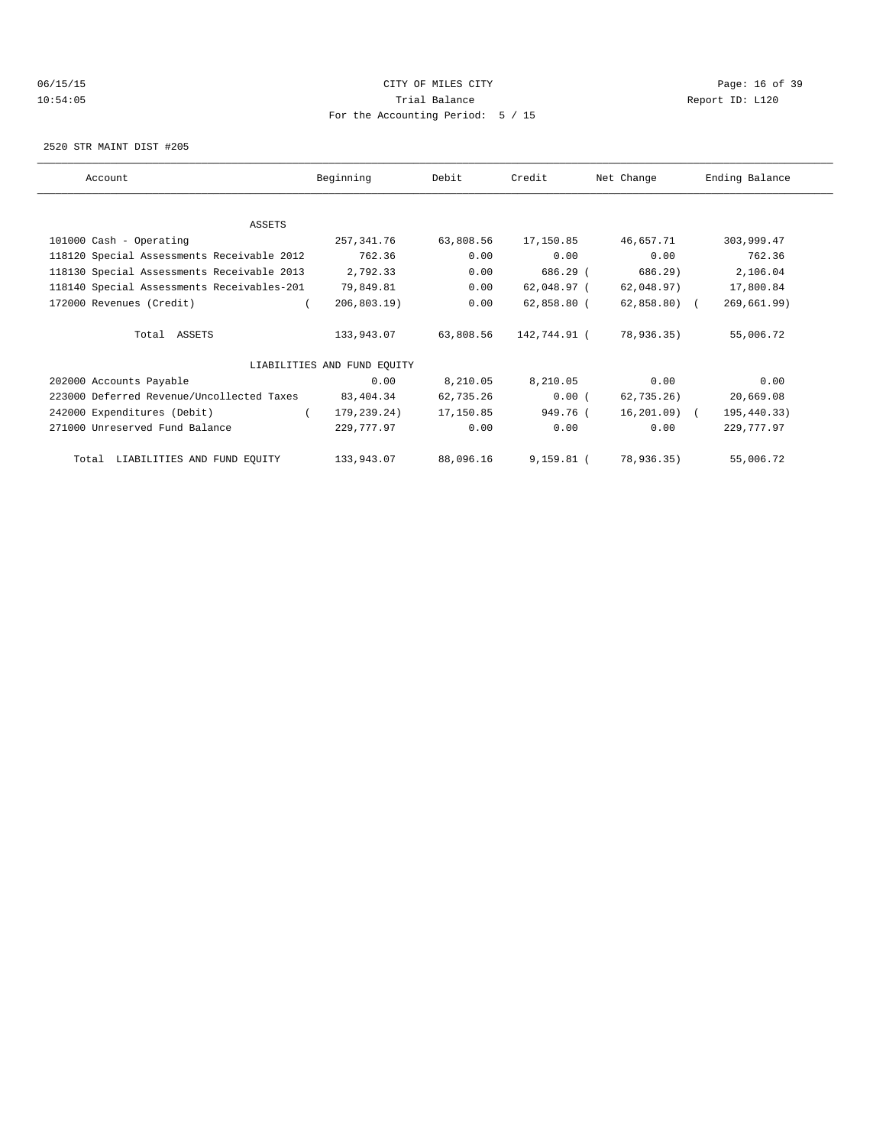# 06/15/15 CITY OF MILES CITY Page: 16 of 39 10:54:05 Trial Balance Report ID: L120 For the Accounting Period: 5 / 15

2520 STR MAINT DIST #205

| Account                                    | Beginning                   | Debit     | Credit       | Net Change     | Ending Balance |
|--------------------------------------------|-----------------------------|-----------|--------------|----------------|----------------|
|                                            |                             |           |              |                |                |
| ASSETS                                     |                             |           |              |                |                |
| 101000 Cash - Operating                    | 257,341.76                  | 63,808.56 | 17,150.85    | 46,657.71      | 303,999.47     |
| 118120 Special Assessments Receivable 2012 | 762.36                      | 0.00      | 0.00         | 0.00           | 762.36         |
| 118130 Special Assessments Receivable 2013 | 2,792.33                    | 0.00      | 686.29 (     | 686.29)        | 2,106.04       |
| 118140 Special Assessments Receivables-201 | 79,849.81                   | 0.00      | 62,048.97 (  | 62,048.97)     | 17,800.84      |
| 172000 Revenues (Credit)                   | 206,803.19                  | 0.00      | 62,858.80 (  | $62,858.80$ (  | 269,661.99)    |
| Total ASSETS                               | 133,943.07                  | 63,808.56 | 142,744.91 ( | 78,936.35)     | 55,006.72      |
|                                            | LIABILITIES AND FUND EQUITY |           |              |                |                |
| 202000 Accounts Payable                    | 0.00                        | 8,210.05  | 8,210.05     | 0.00           | 0.00           |
| 223000 Deferred Revenue/Uncollected Taxes  | 83,404.34                   | 62,735.26 | 0.00(        | $62, 735.26$ ) | 20,669.08      |
| 242000 Expenditures (Debit)                | 179,239.24)<br>$\left($     | 17,150.85 | 949.76 (     | 16,201.09) (   | 195,440.33)    |
| 271000 Unreserved Fund Balance             | 229,777.97                  | 0.00      | 0.00         | 0.00           | 229,777.97     |
| Total LIABILITIES AND FUND EQUITY          | 133,943.07                  | 88,096.16 | 9,159.81 (   | 78,936.35)     | 55,006.72      |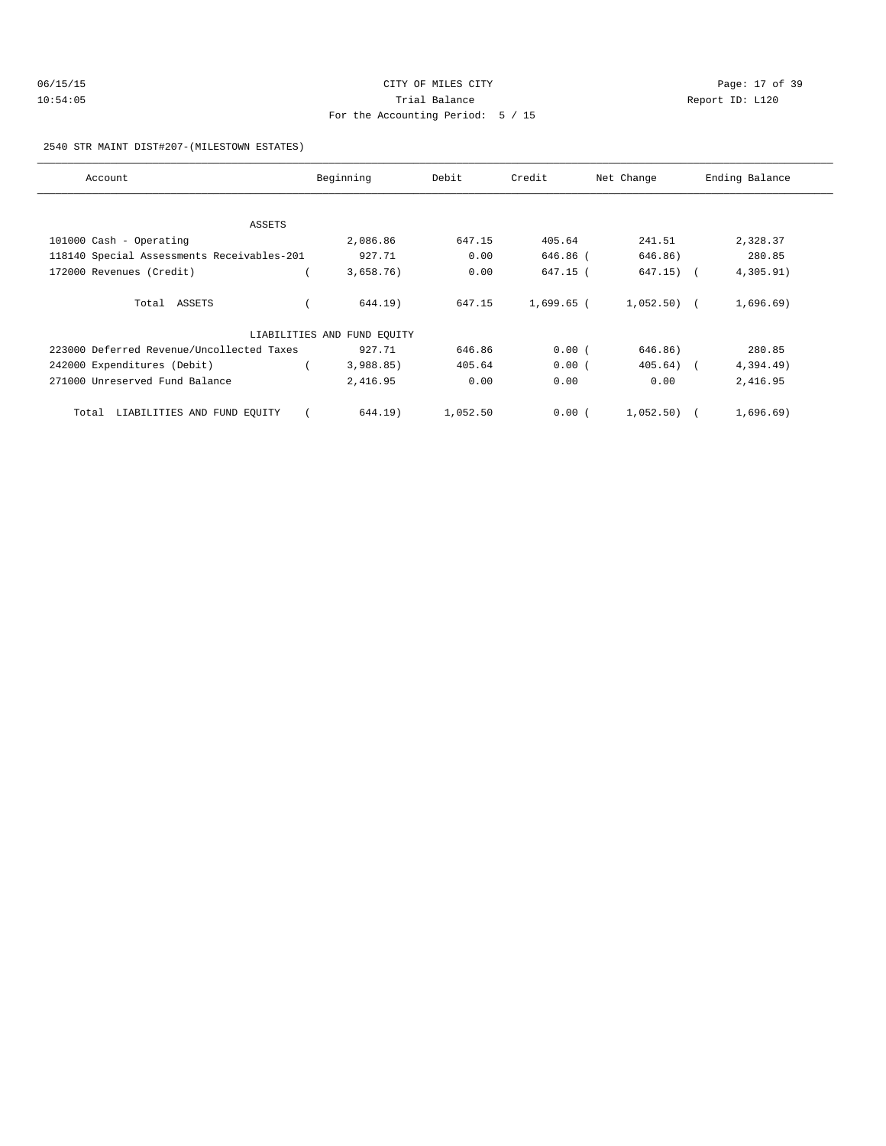| 06/15/15 | CITY OF MILES CITY                | Page: $17o$     |
|----------|-----------------------------------|-----------------|
| 10:54:05 | Trial Balance                     | Report ID: L120 |
|          | For the Accounting Period: 5 / 15 |                 |

Page: 17 of 39

#### 2540 STR MAINT DIST#207-(MILESTOWN ESTATES)

| Account                                    | Beginning                   | Debit    | Credit     | Net Change   | Ending Balance |
|--------------------------------------------|-----------------------------|----------|------------|--------------|----------------|
|                                            |                             |          |            |              |                |
| ASSETS                                     |                             |          |            |              |                |
| 101000 Cash - Operating                    | 2,086.86                    | 647.15   | 405.64     | 241.51       | 2,328.37       |
| 118140 Special Assessments Receivables-201 | 927.71                      | 0.00     | 646.86 (   | 646.86)      | 280.85         |
| 172000 Revenues (Credit)                   | 3,658.76)                   | 0.00     | 647.15 (   | $647.15)$ (  | 4,305.91)      |
|                                            |                             |          |            |              |                |
| Total ASSETS                               | 644.19)                     | 647.15   | 1,699.65 ( | $1,052.50$ ( | 1,696.69)      |
|                                            | LIABILITIES AND FUND EQUITY |          |            |              |                |
| 223000 Deferred Revenue/Uncollected Taxes  | 927.71                      | 646.86   | 0.00(      | 646.86)      | 280.85         |
| 242000 Expenditures (Debit)                | 3,988.85                    | 405.64   | 0.00(      | 405.64)      | 4,394.49)      |
| 271000 Unreserved Fund Balance             | 2,416.95                    | 0.00     | 0.00       | 0.00         | 2,416.95       |
| LIABILITIES AND FUND EQUITY<br>Total       | 644.19)                     | 1,052.50 | 0.00(      | 1,052.50)    | 1,696.69)      |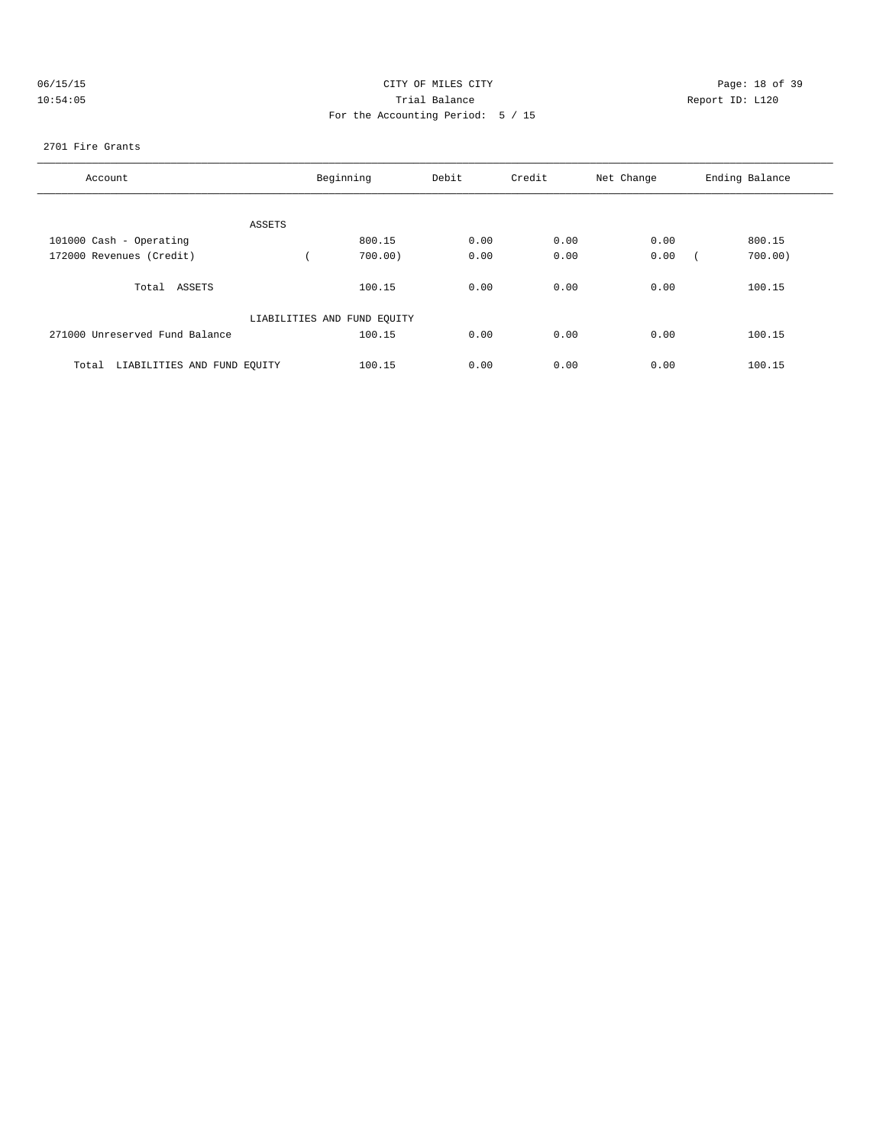|  |  |  | 06/15/15 |  |
|--|--|--|----------|--|
|  |  |  | 10:54:05 |  |

# CITY OF MILES CITY CONTROL CONTROL CONTROL CONTROL CITY 10:54:05 Report ID: L120 For the Accounting Period: 5 / 15

#### 2701 Fire Grants

| Account                              | Beginning                   | Debit | Credit | Net Change | Ending Balance |
|--------------------------------------|-----------------------------|-------|--------|------------|----------------|
|                                      |                             |       |        |            |                |
|                                      |                             |       |        |            |                |
| ASSETS                               |                             |       |        |            |                |
| 101000 Cash - Operating              | 800.15                      | 0.00  | 0.00   | 0.00       | 800.15         |
| 172000 Revenues (Credit)             | $700.00$ )                  | 0.00  | 0.00   | 0.00       | 700.00         |
| ASSETS<br>Total                      | 100.15                      | 0.00  | 0.00   | 0.00       | 100.15         |
|                                      | LIABILITIES AND FUND EQUITY |       |        |            |                |
| 271000 Unreserved Fund Balance       | 100.15                      | 0.00  | 0.00   | 0.00       | 100.15         |
| LIABILITIES AND FUND EQUITY<br>Total | 100.15                      | 0.00  | 0.00   | 0.00       | 100.15         |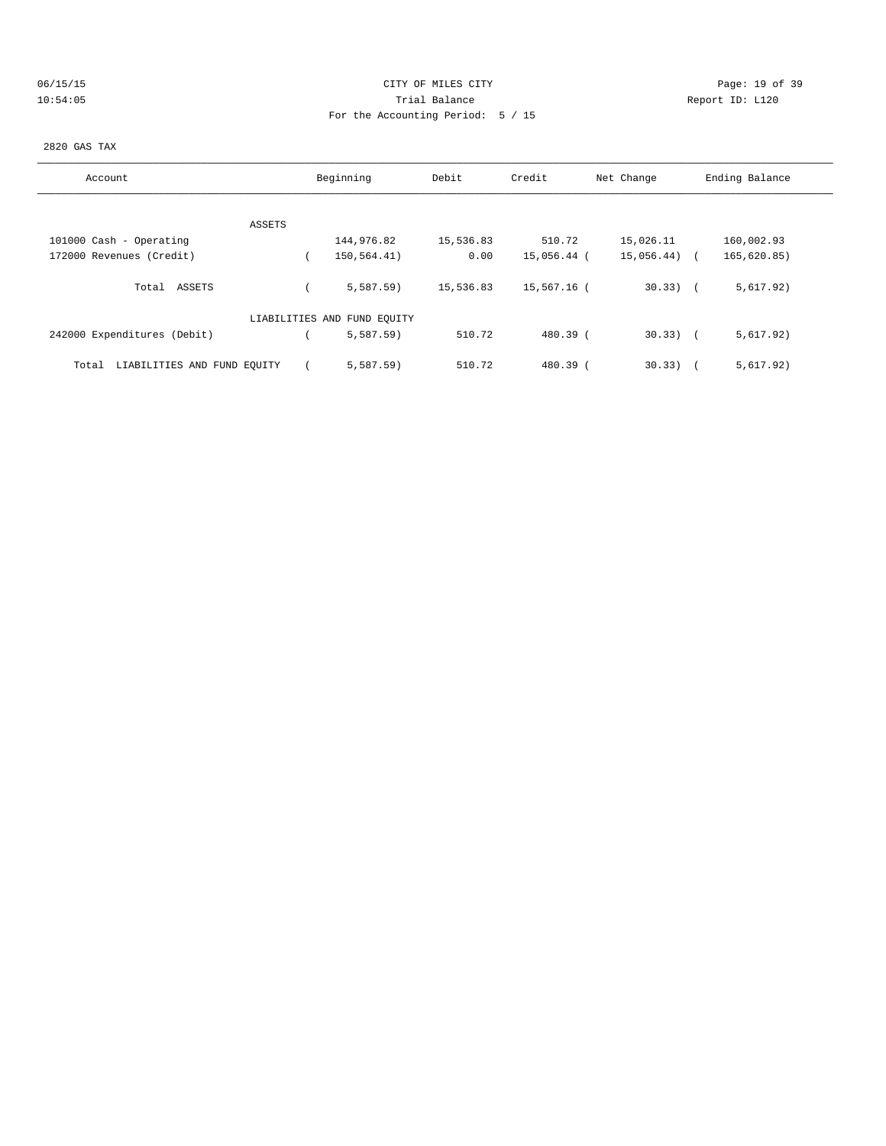# 06/15/15 Page: 19 of 39 10:54:05 Trial Balance Report ID: L120 For the Accounting Period: 5 / 15

#### 2820 GAS TAX

| Account                              | Beginning                   | Debit     | Credit      | Net Change | Ending Balance |  |
|--------------------------------------|-----------------------------|-----------|-------------|------------|----------------|--|
|                                      |                             |           |             |            |                |  |
| ASSETS                               |                             |           |             |            |                |  |
| 101000 Cash - Operating              | 144,976.82                  | 15,536.83 | 510.72      | 15,026.11  | 160,002.93     |  |
| 172000 Revenues (Credit)             | 150,564.41)                 | 0.00      | 15,056.44 ( | 15,056.44) | 165, 620.85)   |  |
| Total ASSETS                         | 5.587.59                    | 15,536.83 | 15,567.16 ( | $30.33)$ ( | 5,617.92)      |  |
|                                      | LIABILITIES AND FUND EQUITY |           |             |            |                |  |
| 242000 Expenditures (Debit)          | 5,587.59                    | 510.72    | $480.39$ (  | $30.33)$ ( | 5,617.92)      |  |
| LIABILITIES AND FUND EQUITY<br>Total | 5.587.59                    | 510.72    | 480.39 (    | 30.33      | 5,617.92)      |  |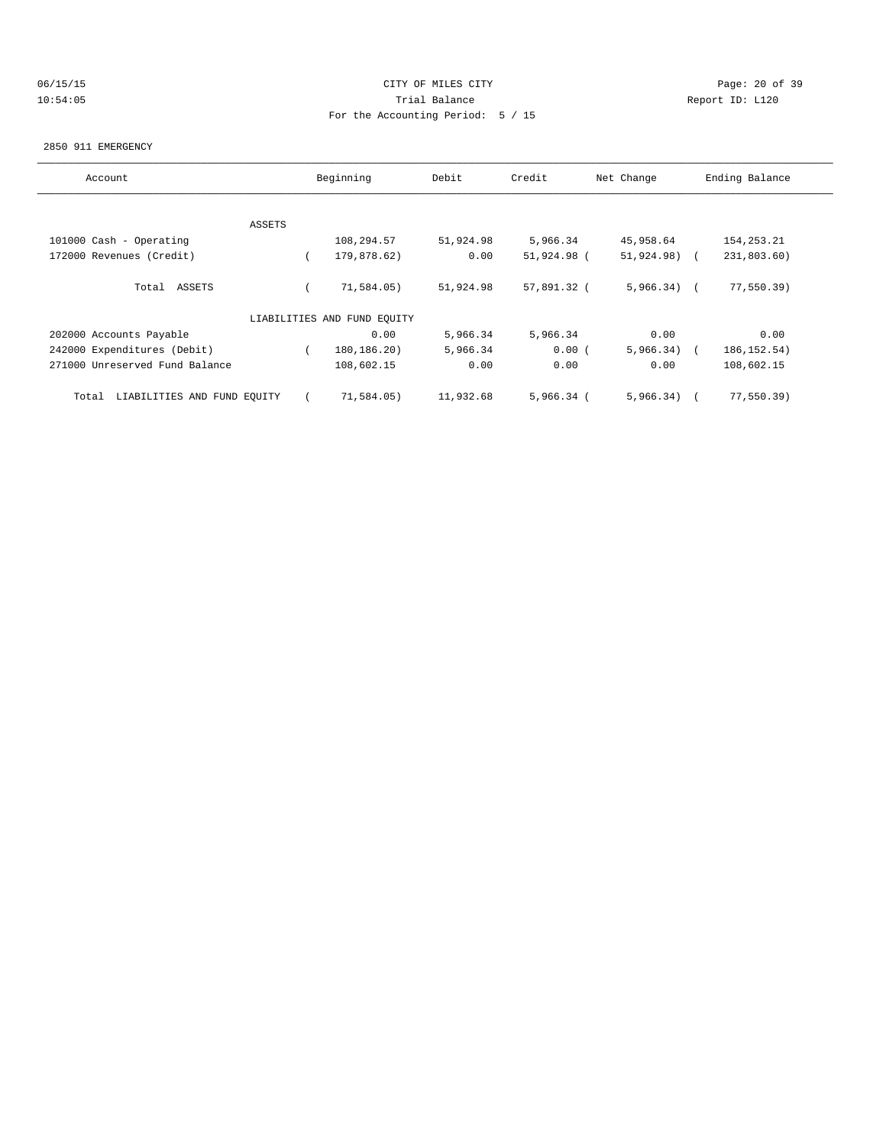# 06/15/15 CITY OF MILES CITY Page: 20 of 39 10:54:05 Trial Balance Report ID: L120 For the Accounting Period: 5 / 15

#### 2850 911 EMERGENCY

| Account                              |        | Beginning                   | Debit     | Credit       | Net Change    | Ending Balance |
|--------------------------------------|--------|-----------------------------|-----------|--------------|---------------|----------------|
|                                      |        |                             |           |              |               |                |
|                                      | ASSETS |                             |           |              |               |                |
| 101000 Cash - Operating              |        | 108,294.57                  | 51,924.98 | 5,966.34     | 45,958.64     | 154, 253. 21   |
| 172000 Revenues (Credit)             |        | 179,878.62)                 | 0.00      | 51,924.98 (  | 51,924.98) (  | 231,803.60)    |
| Total ASSETS                         |        | 71,584.05)                  | 51,924.98 | 57,891.32 (  | $5,966.34)$ ( | 77,550.39)     |
|                                      |        | LIABILITIES AND FUND EOUITY |           |              |               |                |
| 202000 Accounts Payable              |        | 0.00                        | 5,966.34  | 5,966.34     | 0.00          | 0.00           |
| 242000 Expenditures (Debit)          |        | 180, 186. 20)               | 5,966.34  | 0.00(        | $5,966.34)$ ( | 186, 152.54)   |
| 271000 Unreserved Fund Balance       |        | 108,602.15                  | 0.00      | 0.00         | 0.00          | 108,602.15     |
| LIABILITIES AND FUND EQUITY<br>Total |        | 71,584.05)                  | 11,932.68 | $5,966.34$ ( | 5,966.34)     | 77,550.39)     |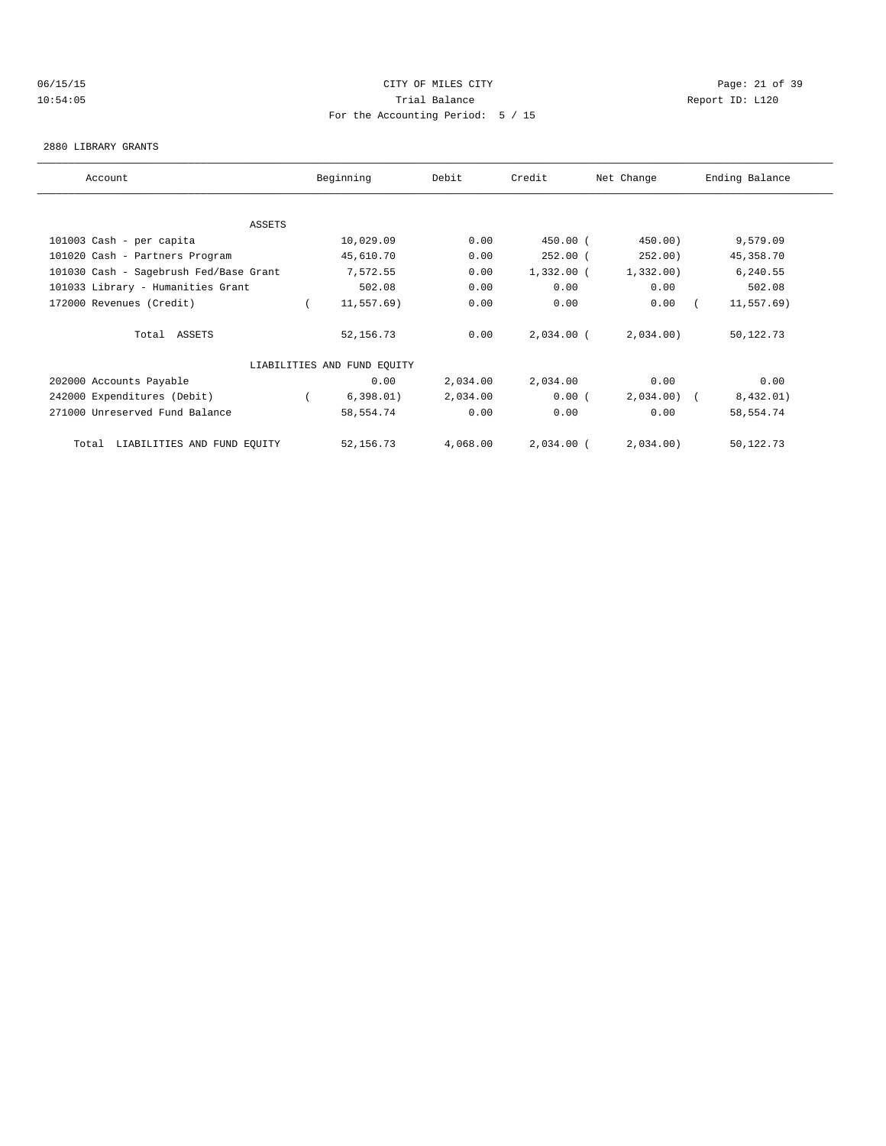# 06/15/15 Page: 21 of 39 10:54:05 Trial Balance Report ID: L120 For the Accounting Period: 5 / 15

#### 2880 LIBRARY GRANTS

| Account                                | Beginning                   | Debit    | Credit       | Net Change   | Ending Balance |
|----------------------------------------|-----------------------------|----------|--------------|--------------|----------------|
|                                        |                             |          |              |              |                |
| ASSETS                                 |                             |          |              |              |                |
| 101003 Cash - per capita               | 10,029.09                   | 0.00     | $450.00$ (   | 450.00)      | 9,579.09       |
| 101020 Cash - Partners Program         | 45,610.70                   | 0.00     | $252.00$ (   | 252.00)      | 45, 358.70     |
| 101030 Cash - Sagebrush Fed/Base Grant | 7,572.55                    | 0.00     | $1,332.00$ ( | 1,332.00     | 6,240.55       |
| 101033 Library - Humanities Grant      | 502.08                      | 0.00     | 0.00         | 0.00         | 502.08         |
| 172000 Revenues (Credit)               | 11,557.69)                  | 0.00     | 0.00         | 0.00         | 11,557.69)     |
| Total ASSETS                           | 52, 156.73                  | 0.00     | $2,034.00$ ( | 2,034.00)    | 50,122.73      |
|                                        | LIABILITIES AND FUND EQUITY |          |              |              |                |
| 202000 Accounts Payable                | 0.00                        | 2,034.00 | 2,034.00     | 0.00         | 0.00           |
| 242000 Expenditures (Debit)            | 6,398.01)                   | 2,034.00 | 0.00(        | $2,034.00$ ( | 8,432.01)      |
| 271000 Unreserved Fund Balance         | 58,554.74                   | 0.00     | 0.00         | 0.00         | 58,554.74      |
| LIABILITIES AND FUND EQUITY<br>Total   | 52, 156. 73                 | 4,068.00 | $2,034.00$ ( | 2,034.00)    | 50,122.73      |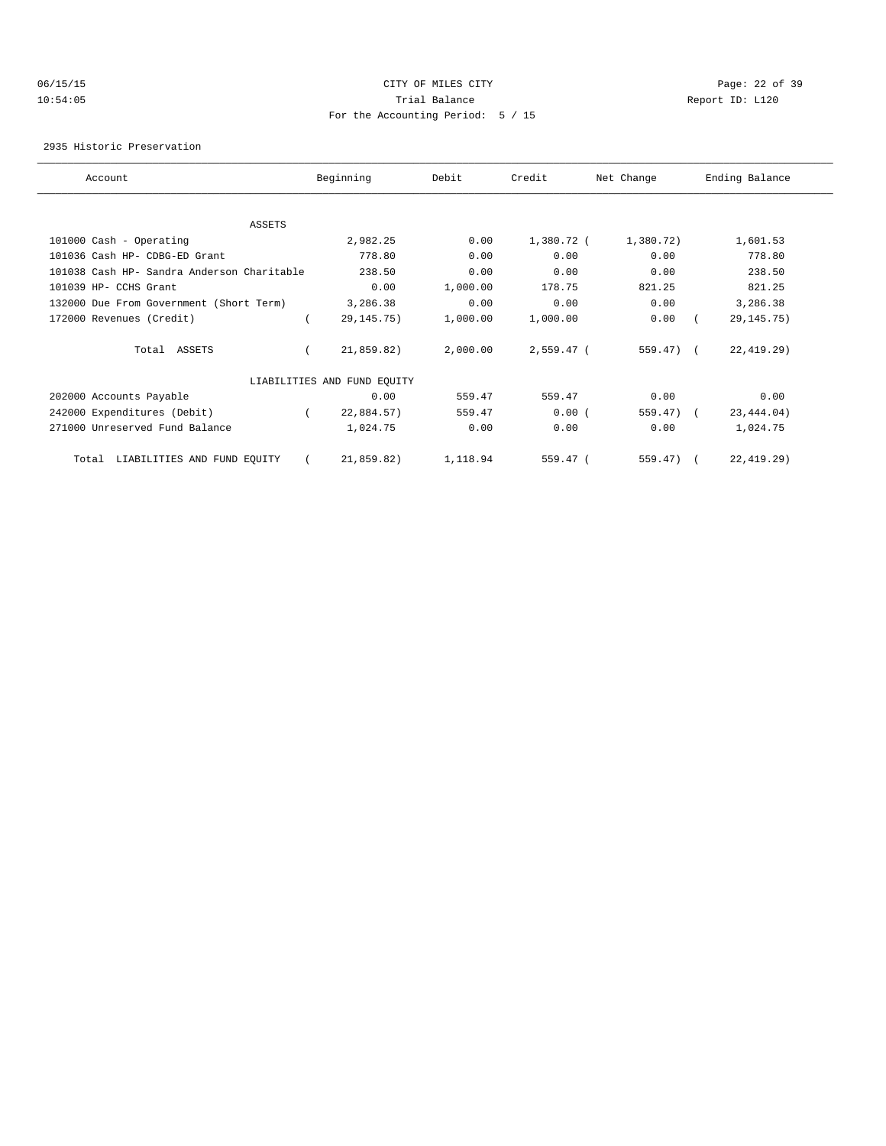### 06/15/15 CITY OF MILES CITY Page: 22 of 39 10:54:05 Trial Balance Report ID: L120 For the Accounting Period: 5 / 15

2935 Historic Preservation

| Account                                    |  | Beginning                   | Debit    | Credit       | Net Change | Ending Balance |  |
|--------------------------------------------|--|-----------------------------|----------|--------------|------------|----------------|--|
|                                            |  |                             |          |              |            |                |  |
| ASSETS                                     |  |                             |          |              |            |                |  |
| 101000 Cash - Operating                    |  | 2,982.25                    | 0.00     | 1,380.72 (   | 1,380.72)  | 1,601.53       |  |
| 101036 Cash HP- CDBG-ED Grant              |  | 778.80                      | 0.00     | 0.00         | 0.00       | 778.80         |  |
| 101038 Cash HP- Sandra Anderson Charitable |  | 238.50                      | 0.00     | 0.00         | 0.00       | 238.50         |  |
| 101039 HP- CCHS Grant                      |  | 0.00                        | 1,000.00 | 178.75       | 821.25     | 821.25         |  |
| 132000 Due From Government (Short Term)    |  | 3,286.38                    | 0.00     | 0.00         | 0.00       | 3,286.38       |  |
| 172000 Revenues (Credit)                   |  | 29, 145. 75)                | 1,000.00 | 1,000.00     | 0.00       | 29, 145. 75)   |  |
| Total ASSETS                               |  | 21,859.82)                  | 2,000.00 | $2,559.47$ ( | $559.47$ ( | 22, 419.29)    |  |
|                                            |  | LIABILITIES AND FUND EQUITY |          |              |            |                |  |
| 202000 Accounts Payable                    |  | 0.00                        | 559.47   | 559.47       | 0.00       | 0.00           |  |
| 242000 Expenditures (Debit)                |  | 22,884.57)                  | 559.47   | 0.00(        | 559.47) (  | 23, 444.04)    |  |
| 271000 Unreserved Fund Balance             |  | 1,024.75                    | 0.00     | 0.00         | 0.00       | 1,024.75       |  |
| LIABILITIES AND FUND EQUITY<br>Total       |  | 21,859.82)                  | 1,118.94 | 559.47 (     | 559.47)    | 22, 419.29)    |  |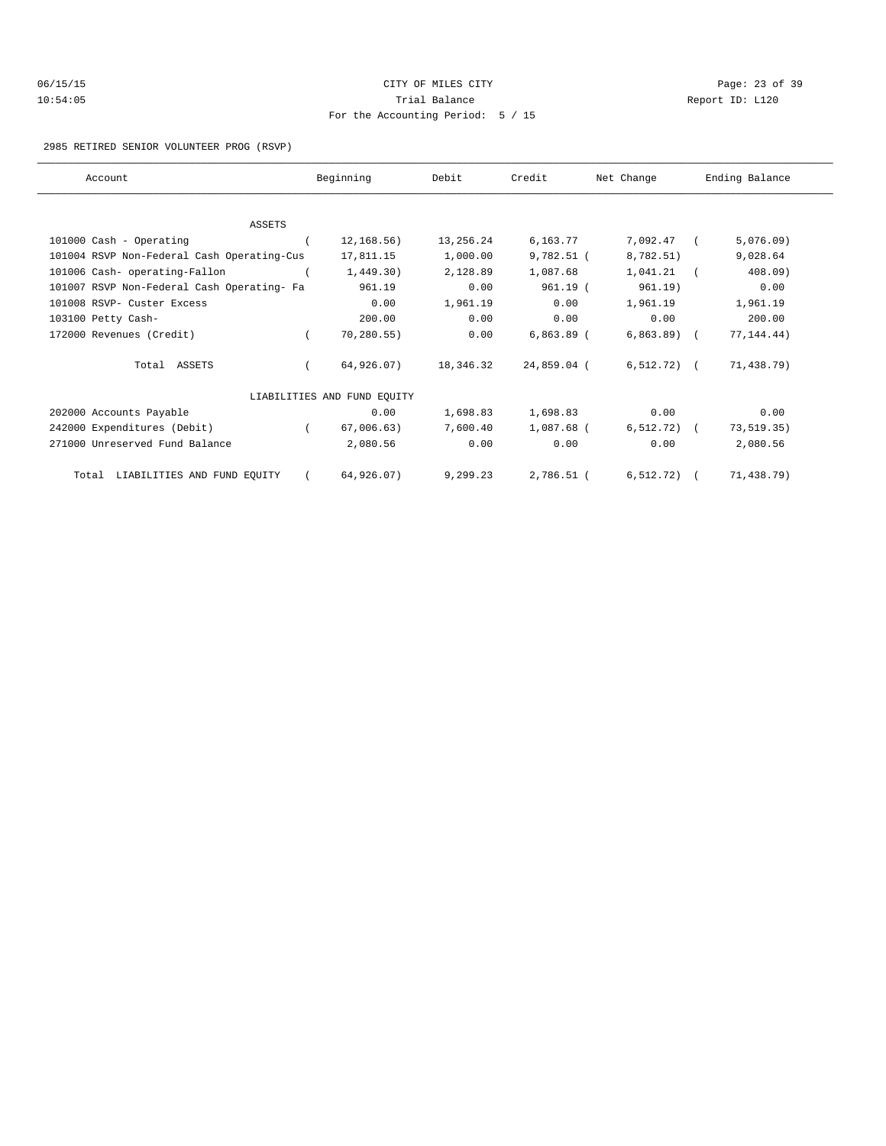| 06/15/15 | CITY OF MILES CITY                |
|----------|-----------------------------------|
| 10:54:05 | Trial Balance                     |
|          | For the Accounting Period: 5 / 15 |

Page: 23 of 39 Report ID: L120

#### 2985 RETIRED SENIOR VOLUNTEER PROG (RSVP)

| Account                                    |            | Beginning                   | Debit     | Credit       | Net Change             | Ending Balance |
|--------------------------------------------|------------|-----------------------------|-----------|--------------|------------------------|----------------|
|                                            |            |                             |           |              |                        |                |
|                                            |            |                             |           |              |                        |                |
| ASSETS                                     |            |                             |           |              |                        |                |
| 101000 Cash - Operating                    |            | 12,168.56)                  | 13,256.24 | 6,163.77     | 7,092.47 (             | 5,076.09)      |
| 101004 RSVP Non-Federal Cash Operating-Cus |            | 17,811.15                   | 1,000.00  | $9,782.51$ ( | 8,782.51)              | 9,028.64       |
| 101006 Cash- operating-Fallon              |            | 1,449.30)                   | 2,128.89  | 1,087.68     | 1,041.21               | 408.09         |
| 101007 RSVP Non-Federal Cash Operating- Fa |            | 961.19                      | 0.00      | 961.19 (     | 961.19)                | 0.00           |
| 101008 RSVP- Custer Excess                 |            | 0.00                        | 1,961.19  | 0.00         | 1,961.19               | 1,961.19       |
| 103100 Petty Cash-                         |            | 200.00                      | 0.00      | 0.00         | 0.00                   | 200.00         |
| 172000 Revenues (Credit)                   | $\sqrt{2}$ | 70, 280.55)                 | 0.00      | $6,863.89$ ( | $6,863.89$ (           | 77, 144.44)    |
| Total ASSETS                               |            | 64,926.07)                  | 18,346.32 | 24,859.04 (  | $6,512.72)$ (          | 71,438.79)     |
|                                            |            | LIABILITIES AND FUND EQUITY |           |              |                        |                |
| 202000 Accounts Payable                    |            | 0.00                        | 1,698.83  | 1,698.83     | 0.00                   | 0.00           |
| 242000 Expenditures (Debit)                | $\sqrt{2}$ | 67,006.63)                  | 7,600.40  | 1,087.68 (   | $6,512.72)$ (          | 73, 519.35)    |
| 271000 Unreserved Fund Balance             |            | 2,080.56                    | 0.00      | 0.00         | 0.00                   | 2,080.56       |
| Total LIABILITIES AND FUND EQUITY          |            | 64,926.07)                  | 9,299.23  |              | 2,786.51 ( 6,512.72) ( | 71,438.79)     |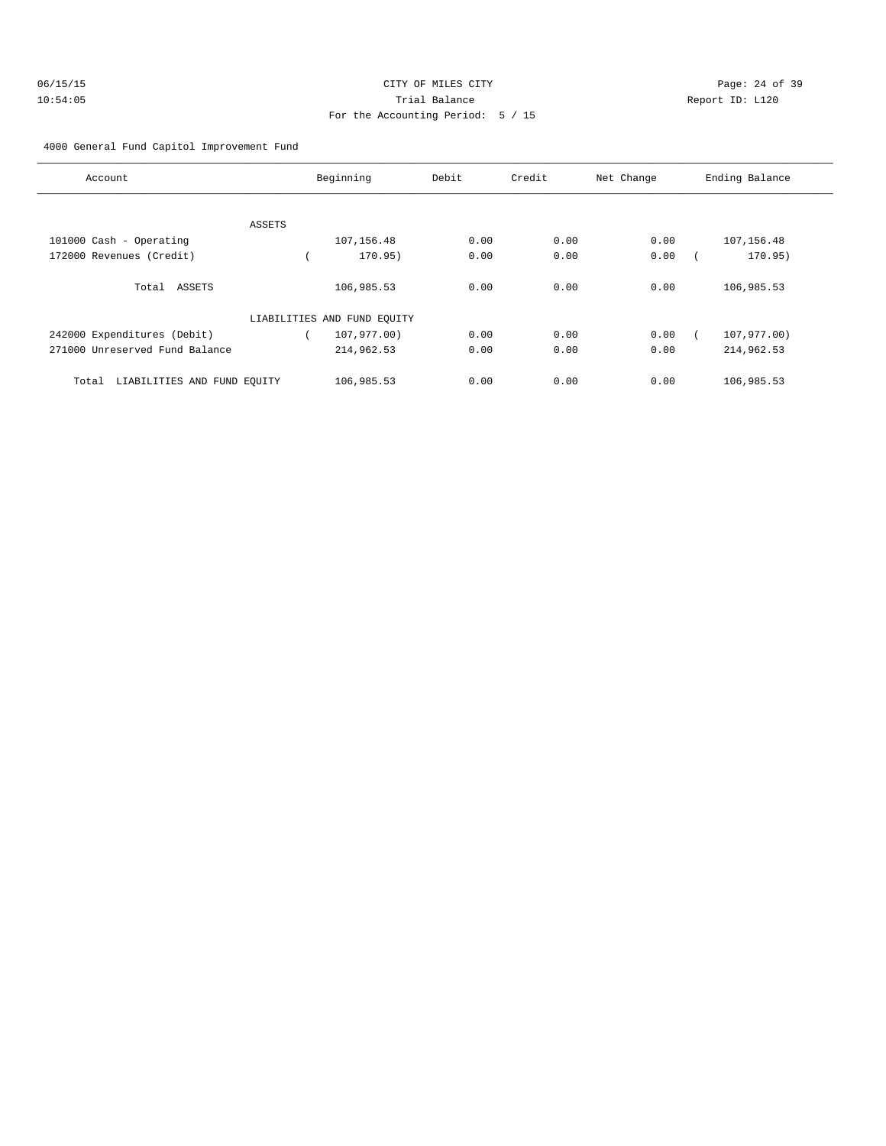| 06/15/15 | CITY OF MILES CITY                |   |
|----------|-----------------------------------|---|
| 10:54:05 | Trial Balance                     | R |
|          | For the Accounting Period: 5 / 15 |   |

Page: 24 of 39 leport ID: L120

### 4000 General Fund Capitol Improvement Fund

| Account                              |        | Beginning                   | Debit | Credit | Net Change | Ending Balance |
|--------------------------------------|--------|-----------------------------|-------|--------|------------|----------------|
|                                      |        |                             |       |        |            |                |
|                                      | ASSETS |                             |       |        |            |                |
| 101000 Cash - Operating              |        | 107,156.48                  | 0.00  | 0.00   | 0.00       | 107, 156.48    |
| 172000 Revenues (Credit)             |        | 170.95)                     | 0.00  | 0.00   | 0.00       | 170.95)        |
| Total ASSETS                         |        | 106,985.53                  | 0.00  | 0.00   | 0.00       | 106,985.53     |
|                                      |        | LIABILITIES AND FUND EQUITY |       |        |            |                |
| 242000 Expenditures (Debit)          |        | 107,977.00)                 | 0.00  | 0.00   | 0.00       | 107,977.00)    |
| 271000 Unreserved Fund Balance       |        | 214,962.53                  | 0.00  | 0.00   | 0.00       | 214,962.53     |
| LIABILITIES AND FUND EOUITY<br>Total |        | 106,985.53                  | 0.00  | 0.00   | 0.00       | 106,985.53     |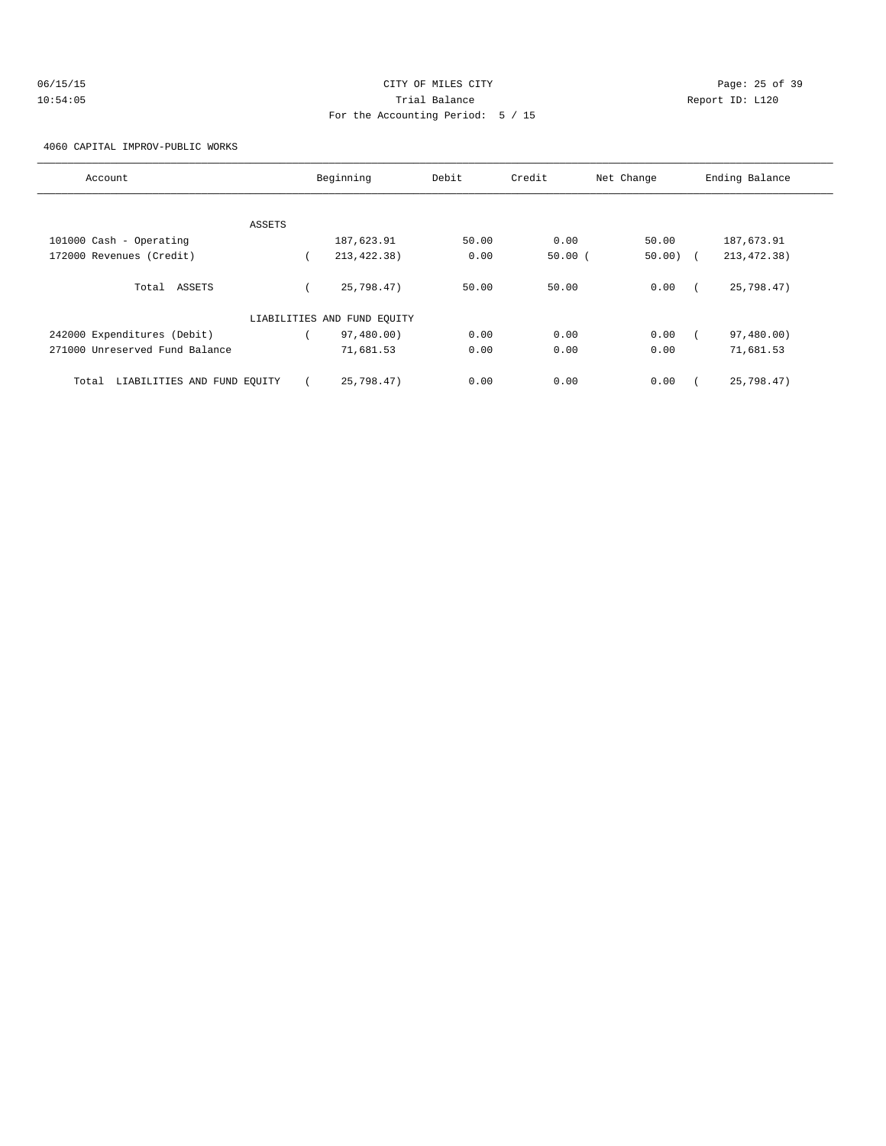| 06/15/15 |  |  |  |  |
|----------|--|--|--|--|
| 10:54:05 |  |  |  |  |

# CITY OF MILES CITY CONTROL CONTROL CONTROL CONTROL CONTROL PAGE: 25 of 39 10:54:05 Trial Balance Communications of the Report ID: L120 For the Accounting Period: 5 / 15

4060 CAPITAL IMPROV-PUBLIC WORKS

| Account                              | Beginning                   | Debit | Credit<br>Net Change |            | Ending Balance |              |  |
|--------------------------------------|-----------------------------|-------|----------------------|------------|----------------|--------------|--|
|                                      |                             |       |                      |            |                |              |  |
| ASSETS                               |                             |       |                      |            |                |              |  |
| 101000 Cash - Operating              | 187,623.91                  | 50.00 | 0.00                 | 50.00      |                | 187,673.91   |  |
| 172000 Revenues (Credit)             | 213, 422. 38)               | 0.00  | 50.00(               | $50.00)$ ( |                | 213, 472.38) |  |
| Total ASSETS                         | 25,798.47)                  | 50.00 | 50.00                | 0.00       |                | 25,798.47)   |  |
|                                      | LIABILITIES AND FUND EQUITY |       |                      |            |                |              |  |
| 242000 Expenditures (Debit)          | 97,480.00)                  | 0.00  | 0.00                 | 0.00       |                | 97,480.00)   |  |
| 271000 Unreserved Fund Balance       | 71,681.53                   | 0.00  | 0.00                 | 0.00       |                | 71,681.53    |  |
| LIABILITIES AND FUND EQUITY<br>Total | 25.798.47                   | 0.00  | 0.00                 | 0.00       |                | 25,798.47)   |  |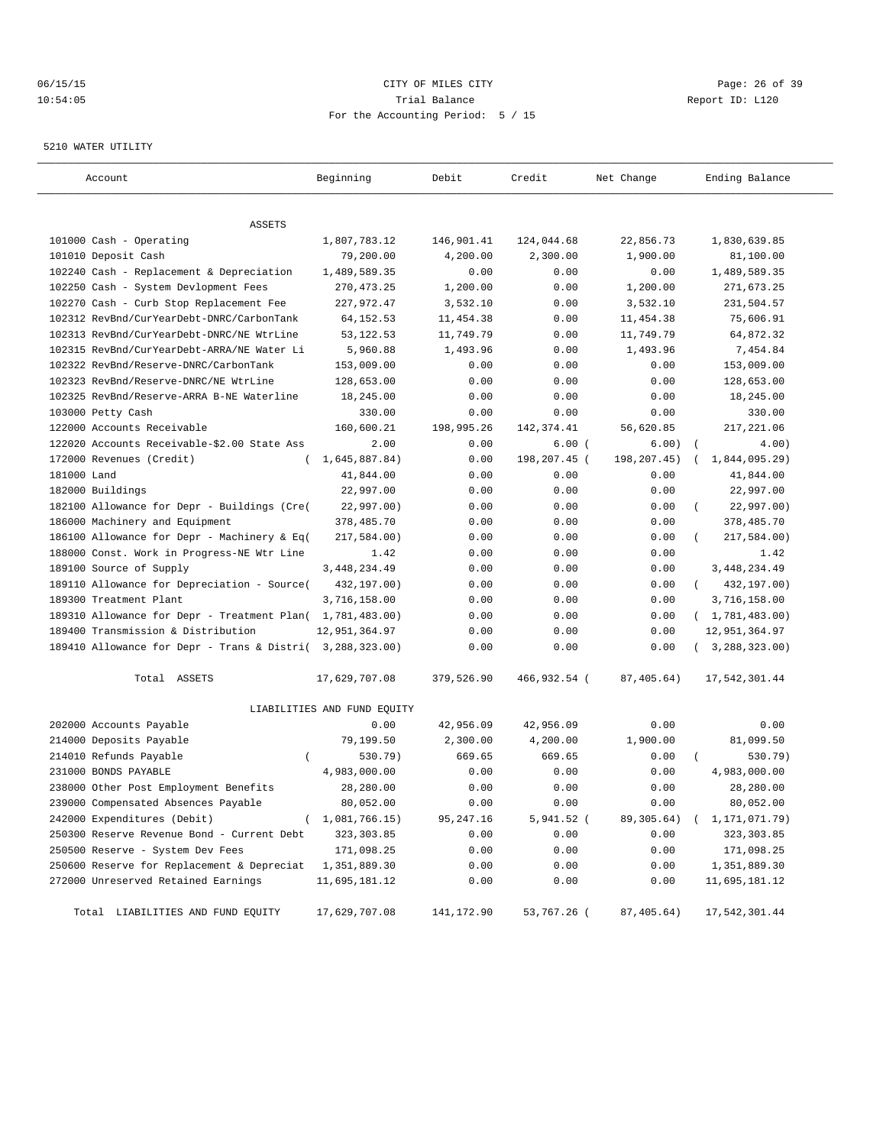### 06/15/15 CITY OF MILES CITY Page: 26 of 39 10:54:05 Trial Balance Report ID: L120 For the Accounting Period: 5 / 15

#### 5210 WATER UTILITY

| Account                                                   | Beginning                   | Debit      | Credit       | Net Change   | Ending Balance              |
|-----------------------------------------------------------|-----------------------------|------------|--------------|--------------|-----------------------------|
|                                                           |                             |            |              |              |                             |
| ASSETS                                                    |                             |            |              |              |                             |
| 101000 Cash - Operating                                   | 1,807,783.12                | 146,901.41 | 124,044.68   | 22,856.73    | 1,830,639.85                |
| 101010 Deposit Cash                                       | 79,200.00                   | 4,200.00   | 2,300.00     | 1,900.00     | 81,100.00                   |
| 102240 Cash - Replacement & Depreciation                  | 1,489,589.35                | 0.00       | 0.00         | 0.00         | 1,489,589.35                |
| 102250 Cash - System Devlopment Fees                      | 270, 473. 25                | 1,200.00   | 0.00         | 1,200.00     | 271,673.25                  |
| 102270 Cash - Curb Stop Replacement Fee                   | 227,972.47                  | 3,532.10   | 0.00         | 3,532.10     | 231,504.57                  |
| 102312 RevBnd/CurYearDebt-DNRC/CarbonTank                 | 64, 152. 53                 | 11,454.38  | 0.00         | 11,454.38    | 75,606.91                   |
| 102313 RevBnd/CurYearDebt-DNRC/NE WtrLine                 | 53, 122. 53                 | 11,749.79  | 0.00         | 11,749.79    | 64,872.32                   |
| 102315 RevBnd/CurYearDebt-ARRA/NE Water Li                | 5,960.88                    | 1,493.96   | 0.00         | 1,493.96     | 7,454.84                    |
| 102322 RevBnd/Reserve-DNRC/CarbonTank                     | 153,009.00                  | 0.00       | 0.00         | 0.00         | 153,009.00                  |
| 102323 RevBnd/Reserve-DNRC/NE WtrLine                     | 128,653.00                  | 0.00       | 0.00         | 0.00         | 128,653.00                  |
| 102325 RevBnd/Reserve-ARRA B-NE Waterline                 | 18,245.00                   | 0.00       | 0.00         | 0.00         | 18,245.00                   |
| 103000 Petty Cash                                         | 330.00                      | 0.00       | 0.00         | 0.00         | 330.00                      |
| 122000 Accounts Receivable                                | 160,600.21                  | 198,995.26 | 142,374.41   | 56,620.85    | 217,221.06                  |
| 122020 Accounts Receivable-\$2.00 State Ass               | 2.00                        | 0.00       | 6.00(        | 6.00)        | $\sqrt{ }$<br>4.00)         |
| 172000 Revenues (Credit)                                  | 1,645,887.84)               | 0.00       | 198,207.45 ( | 198, 207.45) | 1,844,095.29)               |
| 181000 Land                                               | 41,844.00                   | 0.00       | 0.00         | 0.00         | 41,844.00                   |
| 182000 Buildings                                          | 22,997.00                   | 0.00       | 0.00         | 0.00         | 22,997.00                   |
| 182100 Allowance for Depr - Buildings (Cre(               | 22,997.00)                  | 0.00       | 0.00         | 0.00         | 22,997.00)                  |
| 186000 Machinery and Equipment                            | 378,485.70                  | 0.00       | 0.00         | 0.00         | 378,485.70                  |
| 186100 Allowance for Depr - Machinery & Eq(               | 217,584.00)                 | 0.00       | 0.00         | 0.00         | 217,584.00)                 |
| 188000 Const. Work in Progress-NE Wtr Line                | 1.42                        | 0.00       | 0.00         | 0.00         | 1.42                        |
| 189100 Source of Supply                                   | 3, 448, 234.49              | 0.00       | 0.00         | 0.00         | 3, 448, 234.49              |
| 189110 Allowance for Depreciation - Source(               | 432,197.00)                 | 0.00       | 0.00         | 0.00         | 432,197.00)<br>$\left($     |
| 189300 Treatment Plant                                    | 3,716,158.00                | 0.00       | 0.00         | 0.00         | 3,716,158.00                |
| 189310 Allowance for Depr - Treatment Plan( 1,781,483.00) |                             | 0.00       | 0.00         | 0.00         | (1, 781, 483.00)            |
| 189400 Transmission & Distribution                        | 12,951,364.97               | 0.00       | 0.00         | 0.00         | 12,951,364.97               |
| 189410 Allowance for Depr - Trans & Distri( 3,288,323.00) |                             | 0.00       | 0.00         | 0.00         | (3, 288, 323.00)            |
| Total ASSETS                                              | 17,629,707.08               | 379,526.90 | 466,932.54 ( | 87,405.64)   | 17,542,301.44               |
|                                                           | LIABILITIES AND FUND EQUITY |            |              |              |                             |
| 202000 Accounts Payable                                   | 0.00                        | 42,956.09  | 42,956.09    | 0.00         | 0.00                        |
| 214000 Deposits Payable                                   | 79,199.50                   | 2,300.00   | 4,200.00     | 1,900.00     | 81,099.50                   |
| 214010 Refunds Payable<br>$\left($                        | 530.79)                     | 669.65     | 669.65       | 0.00         | 530.79)                     |
| 231000 BONDS PAYABLE                                      | 4,983,000.00                | 0.00       | 0.00         | 0.00         | 4,983,000.00                |
| 238000 Other Post Employment Benefits                     | 28,280.00                   | 0.00       | 0.00         | 0.00         | 28,280.00                   |
| 239000 Compensated Absences Payable                       | 80,052.00                   | 0.00       | 0.00         | 0.00         | 80,052.00                   |
| 242000 Expenditures (Debit)<br>$\left($                   | 1,081,766.15)               | 95,247.16  | 5,941.52 (   | 89,305.64)   | 1,171,071.79)<br>$\sqrt{2}$ |
| 250300 Reserve Revenue Bond - Current Debt                | 323, 303.85                 | 0.00       | 0.00         | 0.00         | 323,303.85                  |
| 250500 Reserve - System Dev Fees                          | 171,098.25                  | 0.00       | 0.00         | 0.00         | 171,098.25                  |
| 250600 Reserve for Replacement & Depreciat                | 1,351,889.30                | 0.00       | 0.00         | 0.00         | 1,351,889.30                |
| 272000 Unreserved Retained Earnings                       | 11,695,181.12               | 0.00       | 0.00         | 0.00         | 11,695,181.12               |
|                                                           |                             |            |              |              |                             |
| Total LIABILITIES AND FUND EQUITY                         | 17,629,707.08               | 141,172.90 | 53,767.26 (  | 87,405.64)   | 17,542,301.44               |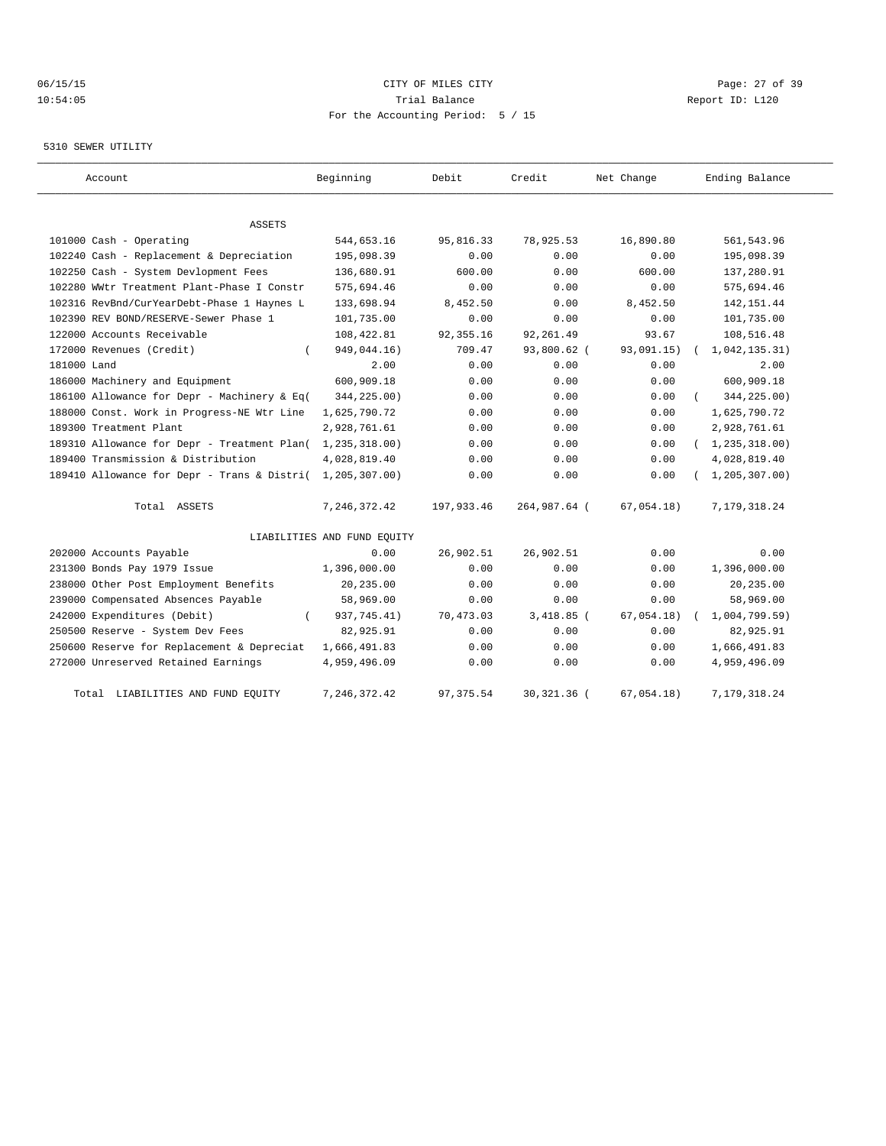# 06/15/15 Page: 27 of 39 10:54:05 Trial Balance Report ID: L120 For the Accounting Period: 5 / 15

#### 5310 SEWER UTILITY

| Account                                     | Beginning                   | Debit      | Credit       | Net Change | Ending Balance   |
|---------------------------------------------|-----------------------------|------------|--------------|------------|------------------|
|                                             |                             |            |              |            |                  |
| ASSETS<br>101000 Cash - Operating           | 544,653.16                  | 95,816.33  | 78,925.53    | 16,890.80  | 561, 543.96      |
| 102240 Cash - Replacement & Depreciation    | 195,098.39                  | 0.00       | 0.00         | 0.00       | 195,098.39       |
| 102250 Cash - System Devlopment Fees        | 136,680.91                  | 600.00     | 0.00         | 600.00     | 137,280.91       |
| 102280 WWtr Treatment Plant-Phase I Constr  | 575,694.46                  | 0.00       | 0.00         | 0.00       | 575,694.46       |
| 102316 RevBnd/CurYearDebt-Phase 1 Haynes L  | 133,698.94                  | 8,452.50   | 0.00         | 8,452.50   | 142, 151.44      |
| 102390 REV BOND/RESERVE-Sewer Phase 1       | 101,735.00                  | 0.00       | 0.00         | 0.00       | 101,735.00       |
| 122000 Accounts Receivable                  | 108,422.81                  | 92, 355.16 | 92, 261.49   | 93.67      | 108,516.48       |
| 172000 Revenues (Credit)                    | 949,044.16)                 | 709.47     | 93,800.62 (  | 93,091.15) | 1,042,135.31)    |
| 181000 Land                                 | 2.00                        | 0.00       | 0.00         | 0.00       | 2.00             |
| 186000 Machinery and Equipment              | 600,909.18                  | 0.00       | 0.00         | 0.00       | 600,909.18       |
| 186100 Allowance for Depr - Machinery & Eq( | 344,225.00)                 | 0.00       | 0.00         | 0.00       | 344,225.00)      |
| 188000 Const. Work in Progress-NE Wtr Line  | 1,625,790.72                | 0.00       | 0.00         | 0.00       | 1,625,790.72     |
| 189300 Treatment Plant                      | 2,928,761.61                | 0.00       | 0.00         | 0.00       | 2,928,761.61     |
| 189310 Allowance for Depr - Treatment Plan( | 1,235,318.00)               | 0.00       | 0.00         | 0.00       | (1, 235, 318.00) |
| 189400 Transmission & Distribution          | 4,028,819.40                | 0.00       | 0.00         | 0.00       | 4,028,819.40     |
| 189410 Allowance for Depr - Trans & Distri( | 1,205,307.00)               | 0.00       | 0.00         | 0.00       | 1, 205, 307.00   |
|                                             |                             |            |              |            |                  |
| Total ASSETS                                | 7, 246, 372.42              | 197,933.46 | 264,987.64 ( | 67,054.18) | 7,179,318.24     |
|                                             | LIABILITIES AND FUND EQUITY |            |              |            |                  |
| 202000 Accounts Payable                     | 0.00                        | 26,902.51  | 26,902.51    | 0.00       | 0.00             |
| 231300 Bonds Pay 1979 Issue                 | 1,396,000.00                | 0.00       | 0.00         | 0.00       | 1,396,000.00     |
| 238000 Other Post Employment Benefits       | 20,235.00                   | 0.00       | 0.00         | 0.00       | 20,235.00        |
| 239000 Compensated Absences Payable         | 58,969.00                   | 0.00       | 0.00         | 0.00       | 58,969.00        |
| 242000 Expenditures (Debit)                 | 937,745.41)                 | 70,473.03  | $3,418.85$ ( | 67,054.18) | 1,004,799.59)    |
| 250500 Reserve - System Dev Fees            | 82,925.91                   | 0.00       | 0.00         | 0.00       | 82,925.91        |
| 250600 Reserve for Replacement & Depreciat  | 1,666,491.83                | 0.00       | 0.00         | 0.00       | 1,666,491.83     |
| 272000 Unreserved Retained Earnings         | 4,959,496.09                | 0.00       | 0.00         | 0.00       | 4,959,496.09     |
| LIABILITIES AND FUND EQUITY<br>Total        | 7,246,372.42                | 97, 375.54 | 30,321.36 (  | 67,054.18) | 7,179,318.24     |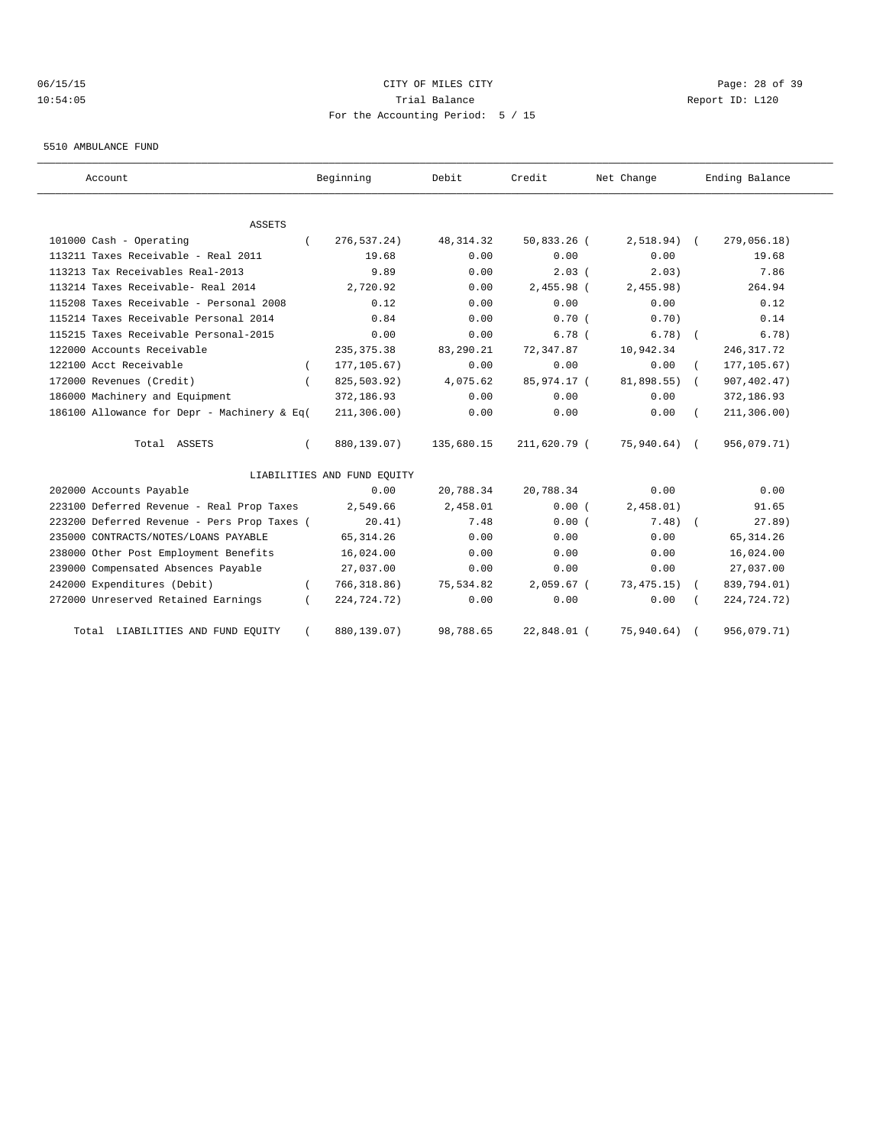# 06/15/15 CITY OF MILES CITY Page: 28 of 39 10:54:05 Trial Balance Report ID: L120 For the Accounting Period: 5 / 15

#### 5510 AMBULANCE FUND

| Account                                     | Beginning                   | Debit      | Credit       | Net Change     | Ending Balance |
|---------------------------------------------|-----------------------------|------------|--------------|----------------|----------------|
| <b>ASSETS</b>                               |                             |            |              |                |                |
| 101000 Cash - Operating                     | 276, 537.24)                | 48, 314.32 | 50,833.26 (  | $2,518.94)$ (  | 279,056.18)    |
| 113211 Taxes Receivable - Real 2011         | 19.68                       | 0.00       | 0.00         | 0.00           | 19.68          |
| 113213 Tax Receivables Real-2013            | 9.89                        | 0.00       | $2.03$ (     | 2.03)          | 7.86           |
| 113214 Taxes Receivable- Real 2014          | 2,720.92                    | 0.00       | 2,455.98 (   | 2,455.98)      | 264.94         |
| 115208 Taxes Receivable - Personal 2008     | 0.12                        | 0.00       | 0.00         | 0.00           | 0.12           |
| 115214 Taxes Receivable Personal 2014       | 0.84                        | 0.00       | 0.70(        | 0.70           | 0.14           |
| 115215 Taxes Receivable Personal-2015       | 0.00                        | 0.00       | 6.78(        | $6.78$ $($     | 6.78)          |
| 122000 Accounts Receivable                  | 235, 375.38                 | 83,290.21  | 72,347.87    | 10,942.34      | 246, 317.72    |
| 122100 Acct Receivable                      | 177, 105.67)                | 0.00       | 0.00         | 0.00           | 177, 105.67)   |
| 172000 Revenues (Credit)                    | 825,503.92)                 | 4,075.62   | 85,974.17 (  | 81,898.55) (   | 907, 402.47)   |
| 186000 Machinery and Equipment              | 372,186.93                  | 0.00       | 0.00         | 0.00           | 372,186.93     |
| 186100 Allowance for Depr - Machinery & Eq( | 211, 306.00)                | 0.00       | 0.00         | 0.00           | 211, 306.00)   |
| Total ASSETS                                | 880,139.07)                 | 135,680.15 | 211,620.79 ( | $75,940.64)$ ( | 956,079.71)    |
|                                             | LIABILITIES AND FUND EQUITY |            |              |                |                |
| 202000 Accounts Payable                     | 0.00                        | 20,788.34  | 20,788.34    | 0.00           | 0.00           |
| 223100 Deferred Revenue - Real Prop Taxes   | 2,549.66                    | 2,458.01   | 0.00(        | 2,458.01)      | 91.65          |
| 223200 Deferred Revenue - Pers Prop Taxes ( | 20.41)                      | 7.48       | 0.00(        | $7.48$ $($     | 27.89)         |
| 235000 CONTRACTS/NOTES/LOANS PAYABLE        | 65, 314.26                  | 0.00       | 0.00         | 0.00           | 65, 314.26     |
| 238000 Other Post Employment Benefits       | 16,024.00                   | 0.00       | 0.00         | 0.00           | 16,024.00      |
| 239000 Compensated Absences Payable         | 27,037.00                   | 0.00       | 0.00         | 0.00           | 27,037.00      |
| 242000 Expenditures (Debit)                 | 766, 318.86)                | 75,534.82  | $2,059.67$ ( | 73,475.15)     | 839,794.01)    |
| 272000 Unreserved Retained Earnings         | 224,724.72)                 | 0.00       | 0.00         | 0.00           | 224,724.72)    |
| LIABILITIES AND FUND EQUITY<br>Total        | 880,139.07)                 | 98,788.65  | 22,848.01 (  | 75,940.64)     | 956,079.71)    |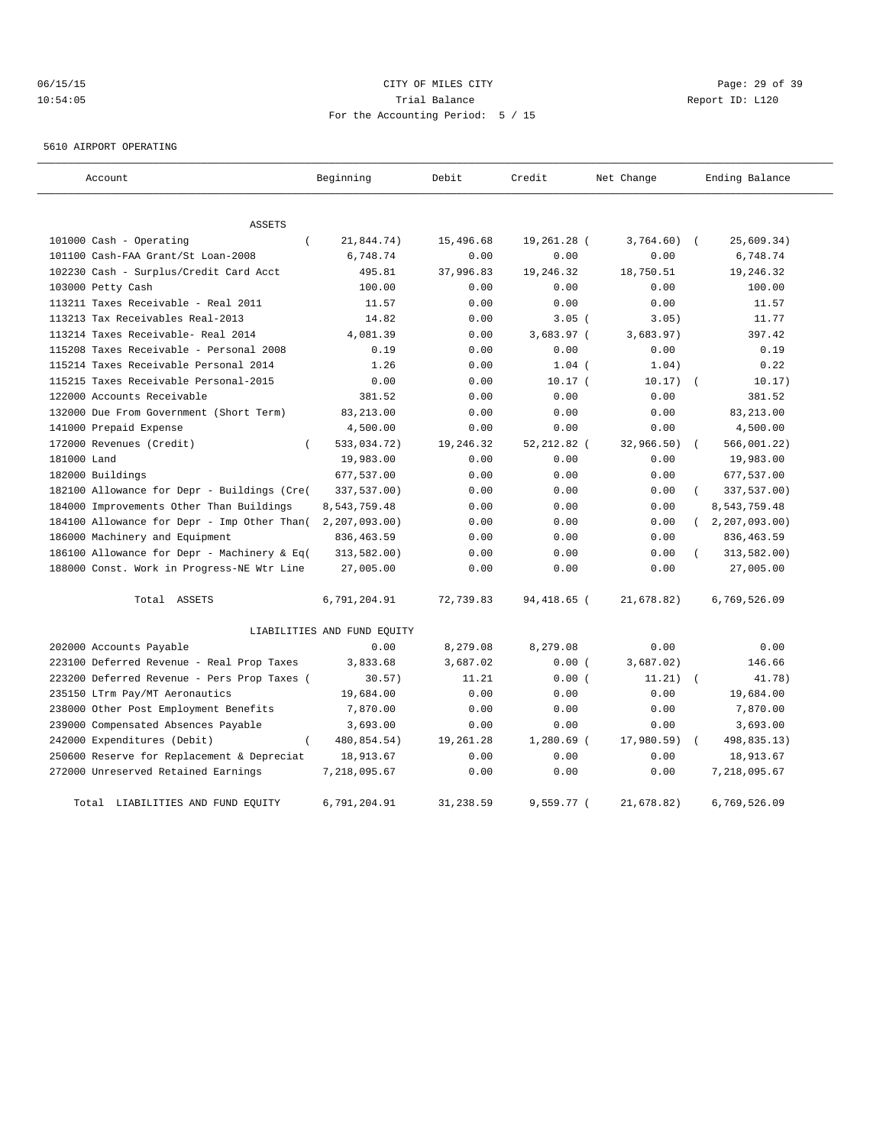# 06/15/15 CITY OF MILES CITY Page: 29 of 39 10:54:05 Trial Balance Report ID: L120 For the Accounting Period: 5 / 15

5610 AIRPORT OPERATING

| Account                                     | Beginning                   | Debit     | Credit       | Net Change   | Ending Balance |  |
|---------------------------------------------|-----------------------------|-----------|--------------|--------------|----------------|--|
| <b>ASSETS</b>                               |                             |           |              |              |                |  |
| 101000 Cash - Operating                     | 21,844.74)                  | 15,496.68 | 19,261.28 (  | $3,764.60$ ( | 25,609.34)     |  |
| 101100 Cash-FAA Grant/St Loan-2008          | 6,748.74                    | 0.00      | 0.00         | 0.00         | 6,748.74       |  |
| 102230 Cash - Surplus/Credit Card Acct      | 495.81                      | 37,996.83 | 19,246.32    | 18,750.51    | 19,246.32      |  |
| 103000 Petty Cash                           | 100.00                      | 0.00      | 0.00         | 0.00         | 100.00         |  |
| 113211 Taxes Receivable - Real 2011         | 11.57                       | 0.00      | 0.00         | 0.00         | 11.57          |  |
| 113213 Tax Receivables Real-2013            | 14.82                       | 0.00      | $3.05$ (     | 3.05)        | 11.77          |  |
| 113214 Taxes Receivable- Real 2014          | 4,081.39                    | 0.00      | $3,683.97$ ( | 3,683.97)    | 397.42         |  |
| 115208 Taxes Receivable - Personal 2008     | 0.19                        | 0.00      | 0.00         | 0.00         | 0.19           |  |
| 115214 Taxes Receivable Personal 2014       | 1.26                        | 0.00      | $1.04$ (     | 1.04)        | 0.22           |  |
| 115215 Taxes Receivable Personal-2015       | 0.00                        | 0.00      | $10.17$ (    | 10.17)       | 10.17)         |  |
| 122000 Accounts Receivable                  | 381.52                      | 0.00      | 0.00         | 0.00         | 381.52         |  |
| 132000 Due From Government (Short Term)     | 83, 213.00                  | 0.00      | 0.00         | 0.00         | 83, 213.00     |  |
| 141000 Prepaid Expense                      | 4,500.00                    | 0.00      | 0.00         | 0.00         | 4,500.00       |  |
| 172000 Revenues (Credit)<br>$\left($        | 533,034.72)                 | 19,246.32 | 52, 212.82 ( | 32,966.50)   | 566,001.22)    |  |
| 181000 Land                                 | 19,983.00                   | 0.00      | 0.00         | 0.00         | 19,983.00      |  |
| 182000 Buildings                            | 677,537.00                  | 0.00      | 0.00         | 0.00         | 677,537.00     |  |
| 182100 Allowance for Depr - Buildings (Cre( | 337,537.00)                 | 0.00      | 0.00         | 0.00         | 337,537.00)    |  |
| 184000 Improvements Other Than Buildings    | 8,543,759.48                | 0.00      | 0.00         | 0.00         | 8,543,759.48   |  |
| 184100 Allowance for Depr - Imp Other Than( | 2, 207, 093.00)             | 0.00      | 0.00         | 0.00         | 2, 207, 093.00 |  |
| 186000 Machinery and Equipment              | 836, 463.59                 | 0.00      | 0.00         | 0.00         | 836, 463.59    |  |
| 186100 Allowance for Depr - Machinery & Eq( | 313,582.00)                 | 0.00      | 0.00         | 0.00         | 313,582.00)    |  |
| 188000 Const. Work in Progress-NE Wtr Line  | 27,005.00                   | 0.00      | 0.00         | 0.00         | 27,005.00      |  |
| Total ASSETS                                | 6,791,204.91                | 72,739.83 | 94,418.65 (  | 21,678.82)   | 6,769,526.09   |  |
|                                             | LIABILITIES AND FUND EQUITY |           |              |              |                |  |
| 202000 Accounts Payable                     | 0.00                        | 8,279.08  | 8,279.08     | 0.00         | 0.00           |  |
| 223100 Deferred Revenue - Real Prop Taxes   | 3,833.68                    | 3,687.02  | 0.00(        | 3,687.02)    | 146.66         |  |
| 223200 Deferred Revenue - Pers Prop Taxes ( | 30.57)                      | 11.21     | 0.00(        | 11.21)       | 41.78)         |  |
| 235150 LTrm Pay/MT Aeronautics              | 19,684.00                   | 0.00      | 0.00         | 0.00         | 19,684.00      |  |
| 238000 Other Post Employment Benefits       | 7,870.00                    | 0.00      | 0.00         | 0.00         | 7,870.00       |  |
| 239000 Compensated Absences Payable         | 3,693.00                    | 0.00      | 0.00         | 0.00         | 3,693.00       |  |
| 242000 Expenditures (Debit)                 | 480,854.54)                 | 19,261.28 | $1,280.69$ ( | 17,980.59)   | 498,835.13)    |  |
| 250600 Reserve for Replacement & Depreciat  | 18,913.67                   | 0.00      | 0.00         | 0.00         | 18,913.67      |  |
| 272000 Unreserved Retained Earnings         | 7,218,095.67                | 0.00      | 0.00         | 0.00         | 7,218,095.67   |  |
| Total LIABILITIES AND FUND EQUITY           | 6,791,204.91                | 31,238.59 | 9,559.77 (   | 21,678.82)   | 6,769,526.09   |  |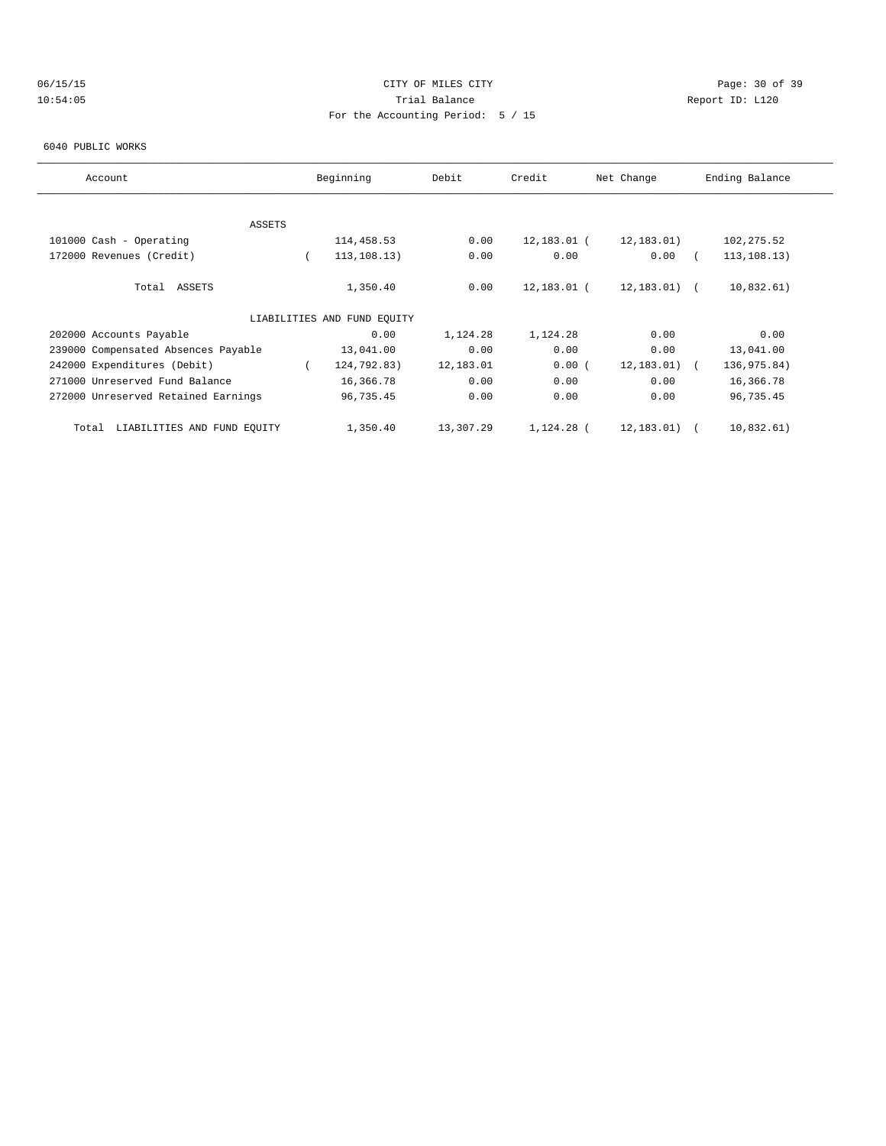# 06/15/15 CITY OF MILES CITY Page: 30 of 39 10:54:05 Trial Balance Report ID: L120 For the Accounting Period: 5 / 15

#### 6040 PUBLIC WORKS

| Account                              | Beginning |                             | Debit     | Credit      |  | Net Change |  | Ending Balance |  |
|--------------------------------------|-----------|-----------------------------|-----------|-------------|--|------------|--|----------------|--|
|                                      |           |                             |           |             |  |            |  |                |  |
| ASSETS                               |           |                             |           |             |  |            |  |                |  |
| 101000 Cash - Operating              |           | 114,458.53                  | 0.00      | 12,183.01 ( |  | 12,183.01) |  | 102, 275.52    |  |
| 172000 Revenues (Credit)             |           | 113, 108.13)                | 0.00      | 0.00        |  | 0.00       |  | 113, 108.13)   |  |
| Total ASSETS                         |           | 1,350.40                    | 0.00      | 12,183.01 ( |  | 12,183.01) |  | 10,832.61)     |  |
|                                      |           | LIABILITIES AND FUND EOUITY |           |             |  |            |  |                |  |
| 202000 Accounts Payable              |           | 0.00                        | 1,124.28  | 1,124.28    |  | 0.00       |  | 0.00           |  |
| 239000 Compensated Absences Payable  |           | 13,041.00                   | 0.00      | 0.00        |  | 0.00       |  | 13,041.00      |  |
| 242000 Expenditures (Debit)          |           | 124,792.83)                 | 12,183.01 | 0.00(       |  | 12,183.01) |  | 136,975.84)    |  |
| 271000 Unreserved Fund Balance       |           | 16,366.78                   | 0.00      | 0.00        |  | 0.00       |  | 16,366.78      |  |
| 272000 Unreserved Retained Earnings  |           | 96,735.45                   | 0.00      | 0.00        |  | 0.00       |  | 96,735.45      |  |
| LIABILITIES AND FUND EOUITY<br>Total |           | 1,350.40                    | 13,307.29 | 1,124.28 (  |  | 12,183.01) |  | 10,832.61)     |  |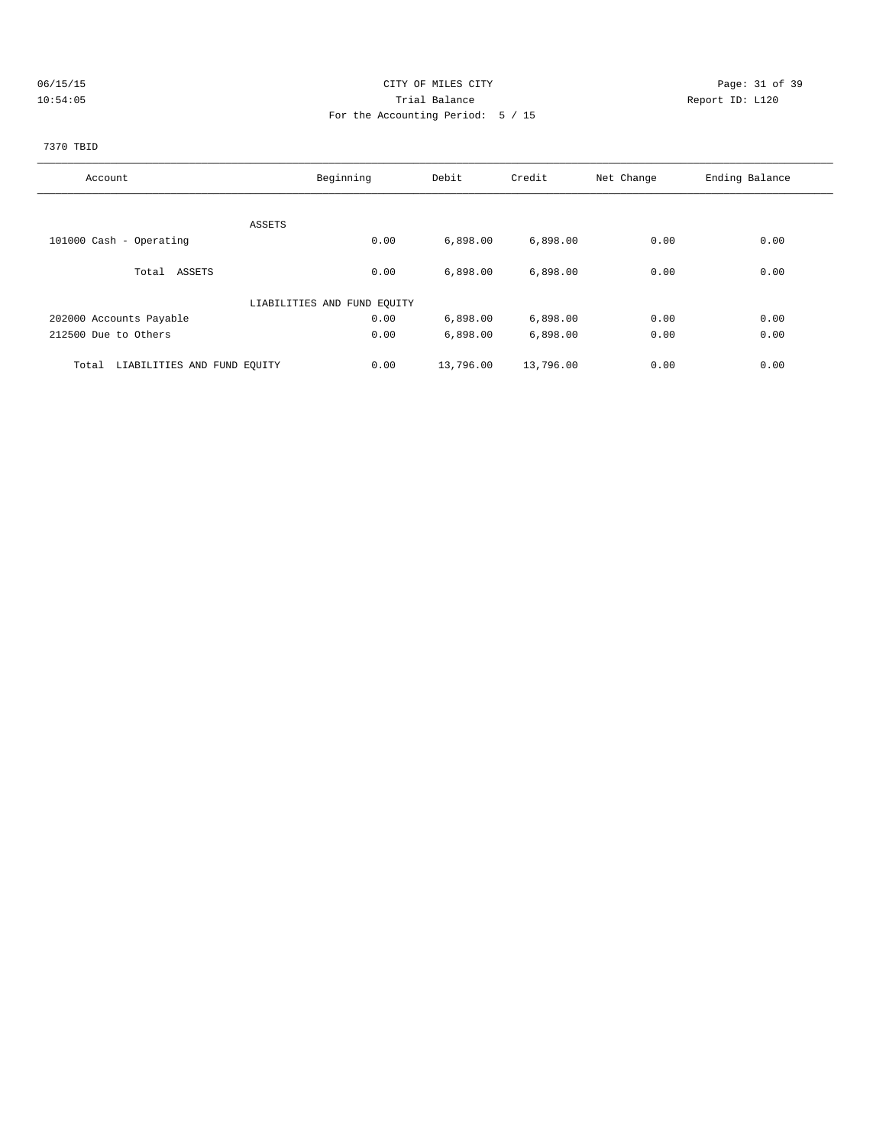# 06/15/15 Page: 31 of 39 10:54:05 Trial Balance Report ID: L120 For the Accounting Period: 5 / 15

# 7370 TBID

| Account                              | Beginning                   | Debit     | Credit    | Net Change | Ending Balance |
|--------------------------------------|-----------------------------|-----------|-----------|------------|----------------|
|                                      |                             |           |           |            |                |
|                                      | ASSETS                      |           |           |            |                |
| 101000 Cash - Operating              | 0.00                        | 6,898.00  | 6,898.00  | 0.00       | 0.00           |
|                                      |                             |           |           |            |                |
| Total ASSETS                         | 0.00                        | 6,898.00  | 6,898.00  | 0.00       | 0.00           |
|                                      | LIABILITIES AND FUND EQUITY |           |           |            |                |
| 202000 Accounts Payable              | 0.00                        | 6,898.00  | 6,898.00  | 0.00       | 0.00           |
| 212500 Due to Others                 | 0.00                        | 6,898.00  | 6,898.00  | 0.00       | 0.00           |
| LIABILITIES AND FUND EQUITY<br>Total | 0.00                        | 13,796.00 | 13,796.00 | 0.00       | 0.00           |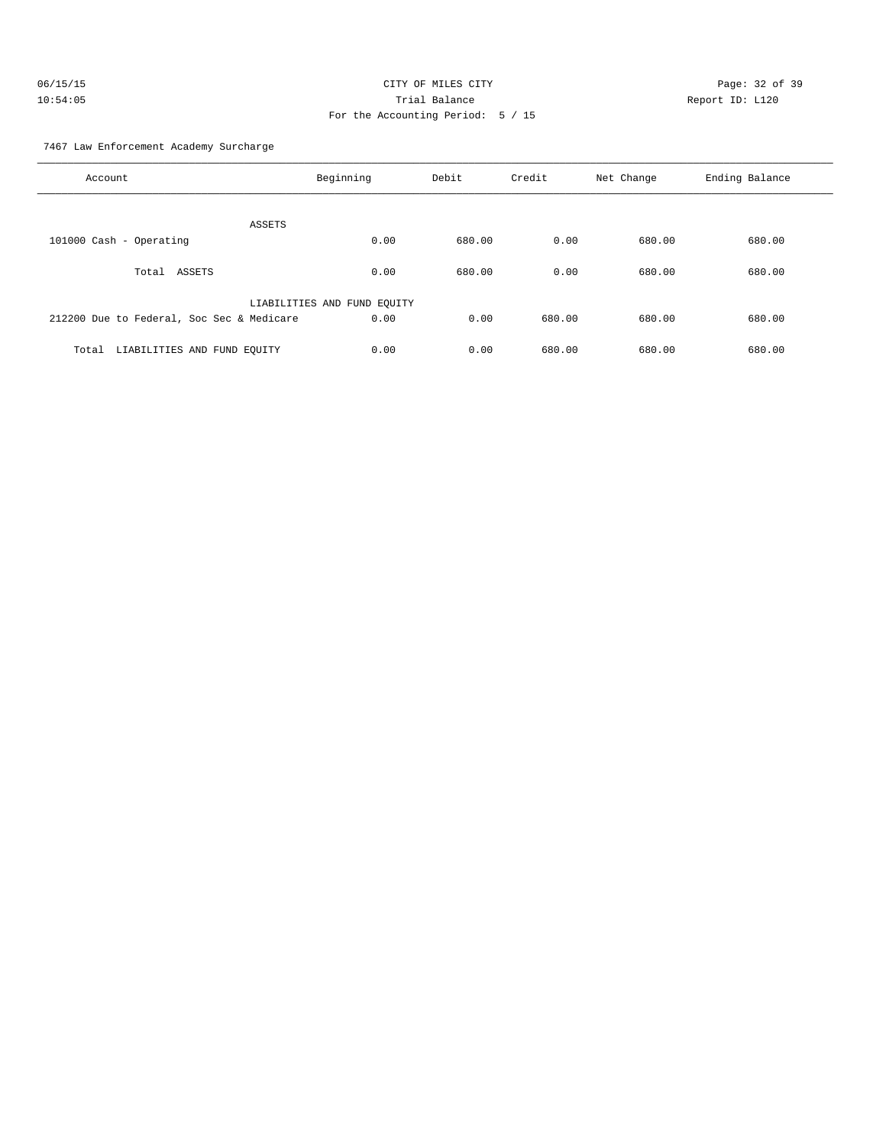| 06/15/15 | CITY OF MILES CITY                | Page: $32o$     |
|----------|-----------------------------------|-----------------|
| 10:54:05 | Trial Balance                     | Report ID: L120 |
|          | For the Accounting Period: 5 / 15 |                 |

Page: 32 of 39

7467 Law Enforcement Academy Surcharge

| Account                                   | Beginning                   | Debit  | Credit | Net Change | Ending Balance |
|-------------------------------------------|-----------------------------|--------|--------|------------|----------------|
| ASSETS                                    |                             |        |        |            |                |
| 101000 Cash - Operating                   | 0.00                        | 680.00 | 0.00   | 680.00     | 680.00         |
|                                           |                             |        |        |            |                |
| ASSETS<br>Total                           | 0.00                        | 680.00 | 0.00   | 680.00     | 680.00         |
|                                           |                             |        |        |            |                |
|                                           | LIABILITIES AND FUND EQUITY |        |        |            |                |
| 212200 Due to Federal, Soc Sec & Medicare | 0.00                        | 0.00   | 680.00 | 680.00     | 680.00         |
|                                           |                             |        |        |            |                |
| LIABILITIES AND FUND EQUITY<br>Total      | 0.00                        | 0.00   | 680.00 | 680.00     | 680.00         |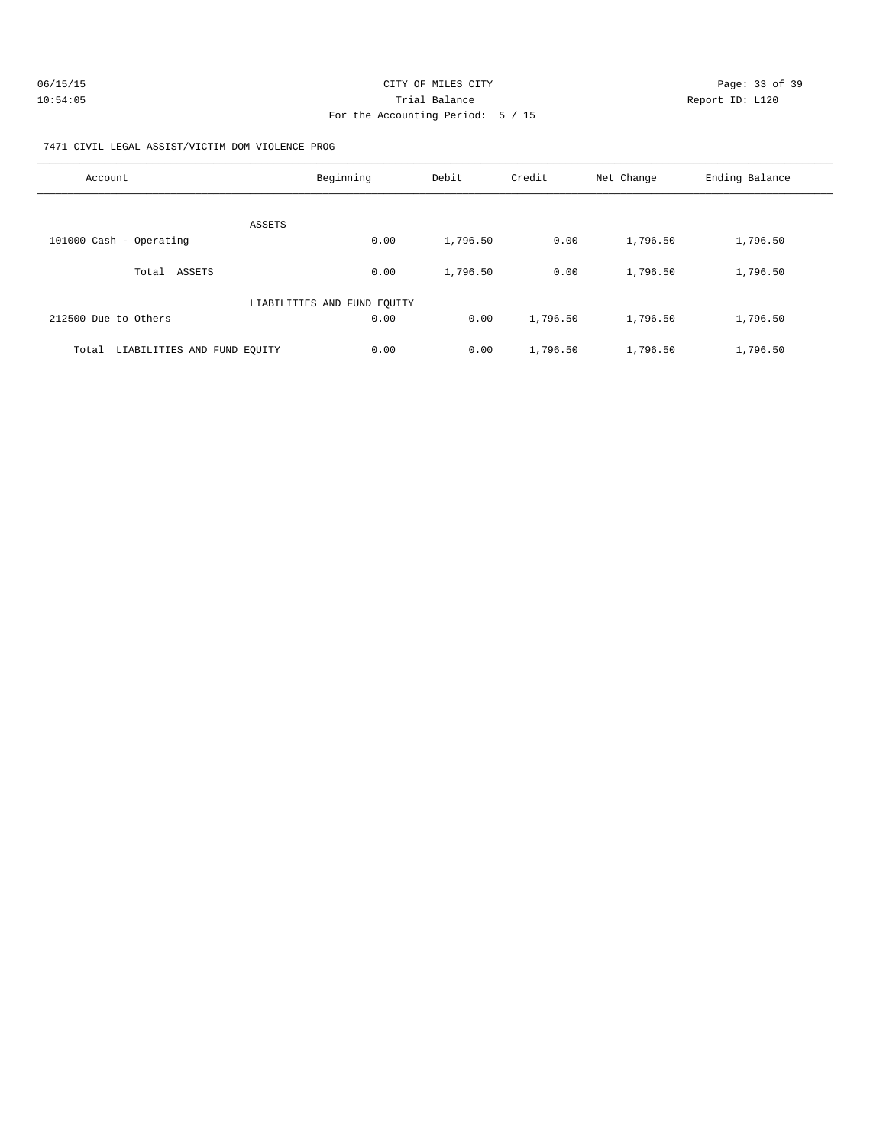| 06/15/15 | CITY OF MILES CITY                | Page: 33 of 39  |
|----------|-----------------------------------|-----------------|
| 10:54:05 | Trial Balance                     | Report ID: L120 |
|          | For the Accounting Period: 5 / 15 |                 |

7471 CIVIL LEGAL ASSIST/VICTIM DOM VIOLENCE PROG

| Account                              | Beginning                   | Debit    | Credit   | Net Change | Ending Balance |
|--------------------------------------|-----------------------------|----------|----------|------------|----------------|
| ASSETS                               |                             |          |          |            |                |
| 101000 Cash - Operating              | 0.00                        | 1,796.50 | 0.00     | 1,796.50   | 1,796.50       |
| ASSETS<br>Total                      | 0.00                        | 1,796.50 | 0.00     | 1,796.50   | 1,796.50       |
|                                      | LIABILITIES AND FUND EQUITY |          |          |            |                |
| 212500 Due to Others                 | 0.00                        | 0.00     | 1,796.50 | 1,796.50   | 1,796.50       |
| LIABILITIES AND FUND EOUITY<br>Total | 0.00                        | 0.00     | 1,796.50 | 1,796.50   | 1,796.50       |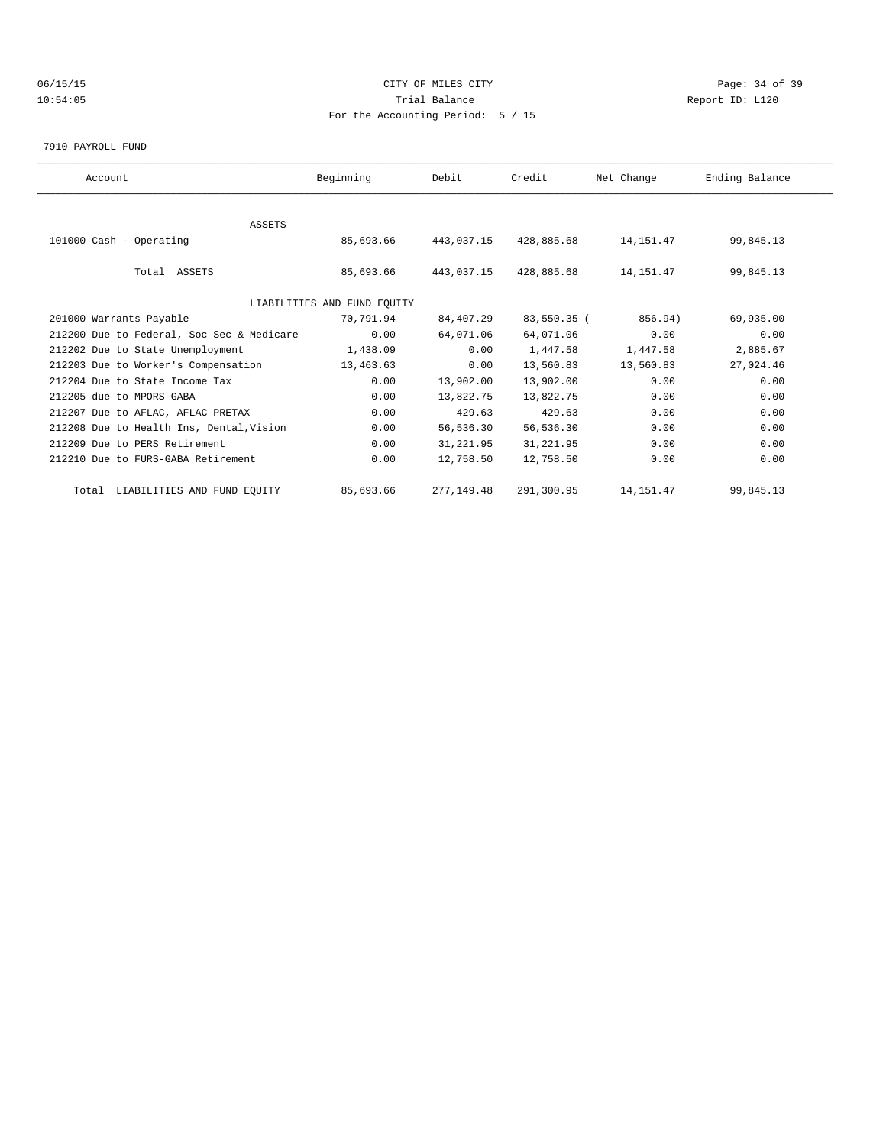# 06/15/15 CITY OF MILES CITY Page: 34 of 39 10:54:05 Trial Balance Report ID: L120 For the Accounting Period: 5 / 15

7910 PAYROLL FUND

| Account                                   | Beginning                   | Debit      | Credit      | Net Change  | Ending Balance |  |
|-------------------------------------------|-----------------------------|------------|-------------|-------------|----------------|--|
|                                           |                             |            |             |             |                |  |
| ASSETS                                    |                             |            |             |             |                |  |
| 101000 Cash - Operating                   | 85,693.66                   | 443,037.15 | 428,885.68  | 14,151.47   | 99,845.13      |  |
|                                           |                             |            |             |             |                |  |
| Total ASSETS                              | 85,693.66                   | 443,037.15 | 428,885.68  | 14,151.47   | 99,845.13      |  |
|                                           |                             |            |             |             |                |  |
|                                           | LIABILITIES AND FUND EQUITY |            |             |             |                |  |
| 201000 Warrants Payable                   | 70,791.94                   | 84,407.29  | 83,550.35 ( | 856.94)     | 69,935.00      |  |
| 212200 Due to Federal, Soc Sec & Medicare | 0.00                        | 64,071.06  | 64,071.06   | 0.00        | 0.00           |  |
| 212202 Due to State Unemployment          | 1,438.09                    | 0.00       | 1,447.58    | 1,447.58    | 2,885.67       |  |
| 212203 Due to Worker's Compensation       | 13,463.63                   | 0.00       | 13,560.83   | 13,560.83   | 27,024.46      |  |
| 212204 Due to State Income Tax            | 0.00                        | 13,902.00  | 13,902.00   | 0.00        | 0.00           |  |
| 212205 due to MPORS-GABA                  | 0.00                        | 13,822.75  | 13,822.75   | 0.00        | 0.00           |  |
| 212207 Due to AFLAC, AFLAC PRETAX         | 0.00                        | 429.63     | 429.63      | 0.00        | 0.00           |  |
| 212208 Due to Health Ins, Dental, Vision  | 0.00                        | 56,536.30  | 56,536.30   | 0.00        | 0.00           |  |
| 212209 Due to PERS Retirement             | 0.00                        | 31,221.95  | 31, 221.95  | 0.00        | 0.00           |  |
| 212210 Due to FURS-GABA Retirement        | 0.00                        | 12,758.50  | 12,758.50   | 0.00        | 0.00           |  |
| Total LIABILITIES AND FUND EQUITY         | 85,693.66                   | 277,149.48 | 291,300.95  | 14, 151. 47 | 99,845.13      |  |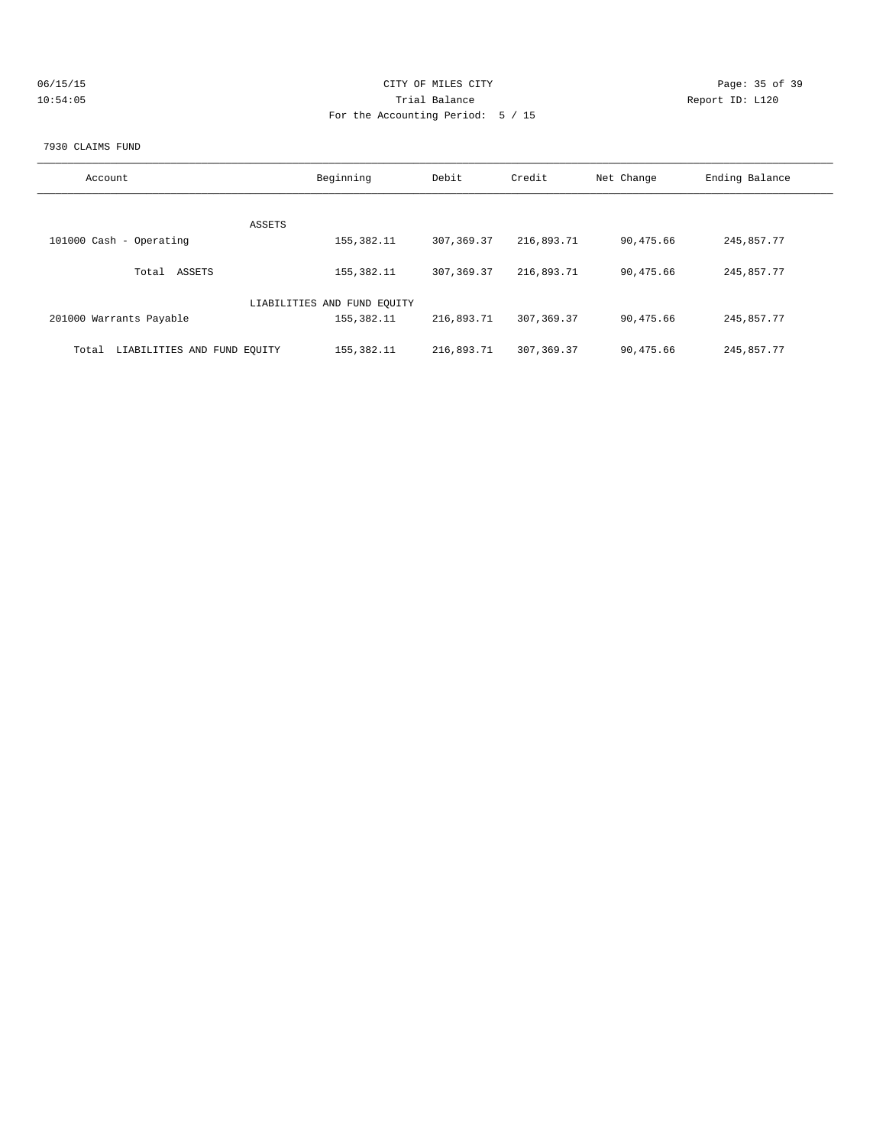| 06/15/15 | CITY OF MILES CITY                | Page: 35 of 39  |
|----------|-----------------------------------|-----------------|
| 10:54:05 | Trial Balance                     | Report ID: L120 |
|          | For the Accounting Period: 5 / 15 |                 |
|          |                                   |                 |

#### 7930 CLAIMS FUND

| Account                              | Beginning                   | Debit       | Credit       | Net Change | Ending Balance |
|--------------------------------------|-----------------------------|-------------|--------------|------------|----------------|
|                                      | ASSETS                      |             |              |            |                |
| 101000 Cash - Operating              | 155,382.11                  | 307,369.37  | 216,893.71   | 90,475.66  | 245,857.77     |
| ASSETS<br>Total                      | 155,382.11                  | 307, 369.37 | 216,893.71   | 90,475.66  | 245,857.77     |
|                                      | LIABILITIES AND FUND EOUITY |             |              |            |                |
| 201000 Warrants Payable              | 155,382.11                  | 216,893.71  | 307, 369, 37 | 90,475.66  | 245,857.77     |
| LIABILITIES AND FUND EQUITY<br>Total | 155, 382. 11                | 216,893.71  | 307, 369, 37 | 90,475.66  | 245,857.77     |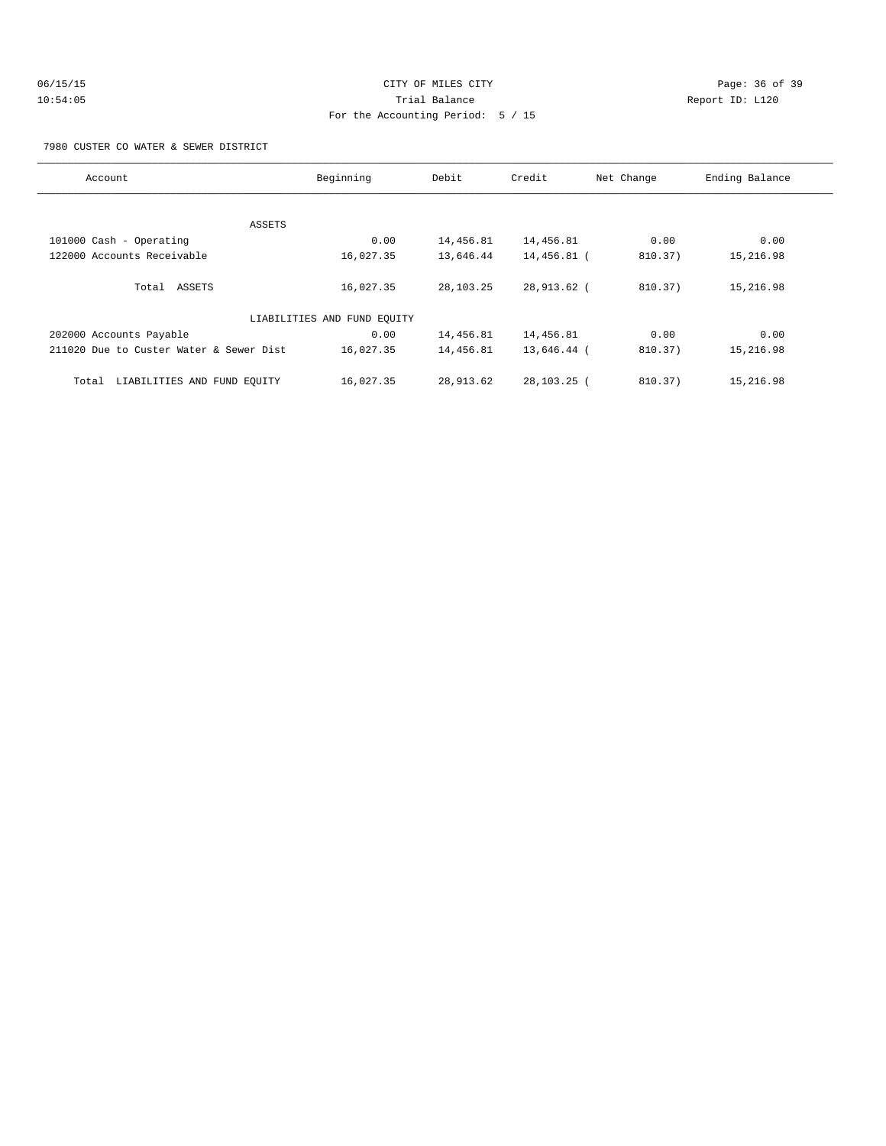# 06/15/15 Page: 36 of 39 10:54:05 Trial Balance Report ID: L120 For the Accounting Period: 5 / 15

7980 CUSTER CO WATER & SEWER DISTRICT

| Account                                 | Beginning                   | Debit     | Credit      | Net Change | Ending Balance |
|-----------------------------------------|-----------------------------|-----------|-------------|------------|----------------|
|                                         |                             |           |             |            |                |
| ASSETS                                  |                             |           |             |            |                |
| 101000 Cash - Operating                 | 0.00                        | 14,456.81 | 14,456.81   | 0.00       | 0.00           |
| 122000 Accounts Receivable              | 16,027.35                   | 13,646.44 | 14,456.81 ( | 810.37)    | 15,216.98      |
|                                         |                             |           |             |            |                |
| Total ASSETS                            | 16,027.35                   | 28,103.25 | 28,913.62 ( | 810.37)    | 15,216.98      |
|                                         |                             |           |             |            |                |
|                                         | LIABILITIES AND FUND EQUITY |           |             |            |                |
| 202000 Accounts Payable                 | 0.00                        | 14,456.81 | 14,456.81   | 0.00       | 0.00           |
| 211020 Due to Custer Water & Sewer Dist | 16,027.35                   | 14,456.81 | 13,646.44 ( | 810.37)    | 15,216.98      |
|                                         |                             |           |             |            |                |
| LIABILITIES AND FUND EQUITY<br>Total    | 16,027.35                   | 28,913.62 | 28,103.25 ( | 810.37)    | 15,216.98      |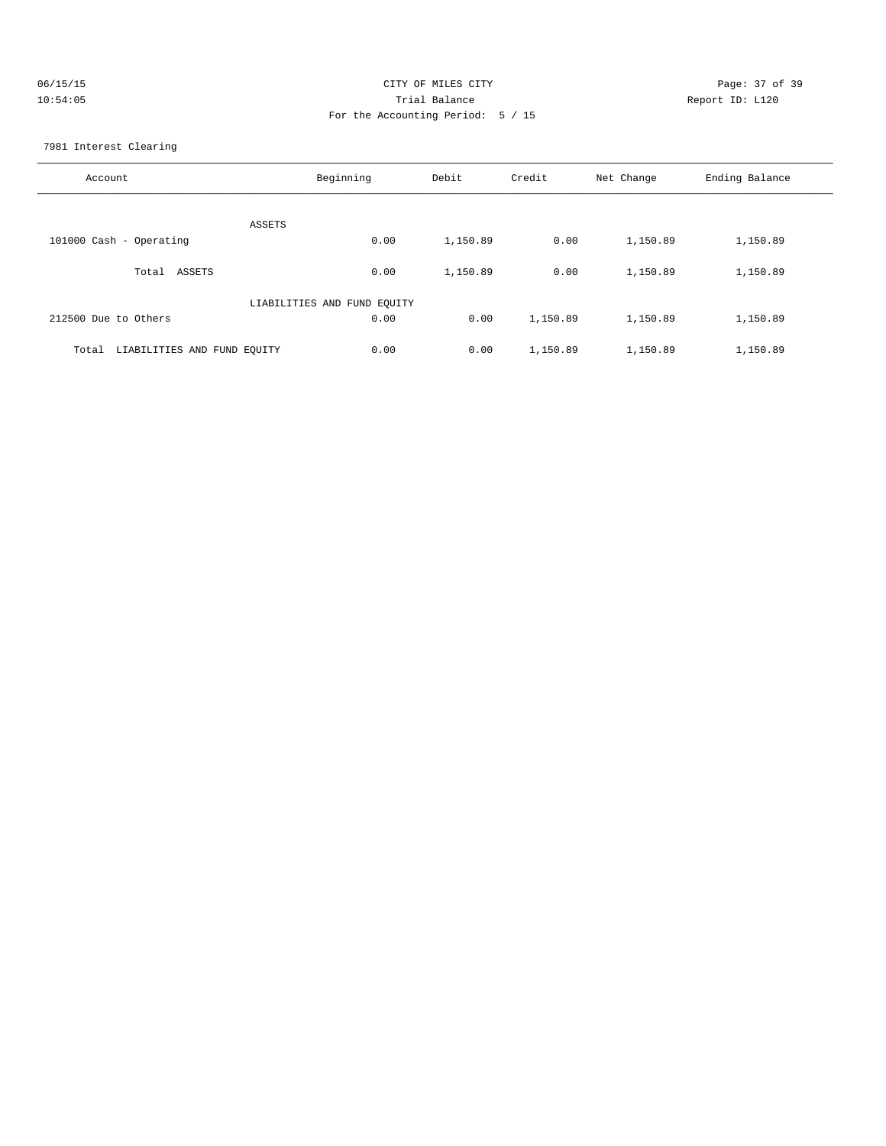| 06/15/15 | CITY OF MILES CITY                | Page: 37 of 39  |
|----------|-----------------------------------|-----------------|
| 10:54:05 | Trial Balance                     | Report ID: L120 |
|          | For the Accounting Period: 5 / 15 |                 |

7981 Interest Clearing

| Account                              | Beginning                   | Debit    | Credit   | Net Change | Ending Balance |
|--------------------------------------|-----------------------------|----------|----------|------------|----------------|
| ASSETS                               |                             |          |          |            |                |
| 101000 Cash - Operating              | 0.00                        | 1,150.89 | 0.00     | 1,150.89   | 1,150.89       |
| Total ASSETS                         | 0.00                        | 1,150.89 | 0.00     | 1,150.89   | 1,150.89       |
|                                      | LIABILITIES AND FUND EQUITY |          |          |            |                |
| 212500 Due to Others                 | 0.00                        | 0.00     | 1,150.89 | 1,150.89   | 1,150.89       |
| LIABILITIES AND FUND EQUITY<br>Total | 0.00                        | 0.00     | 1,150.89 | 1,150.89   | 1,150.89       |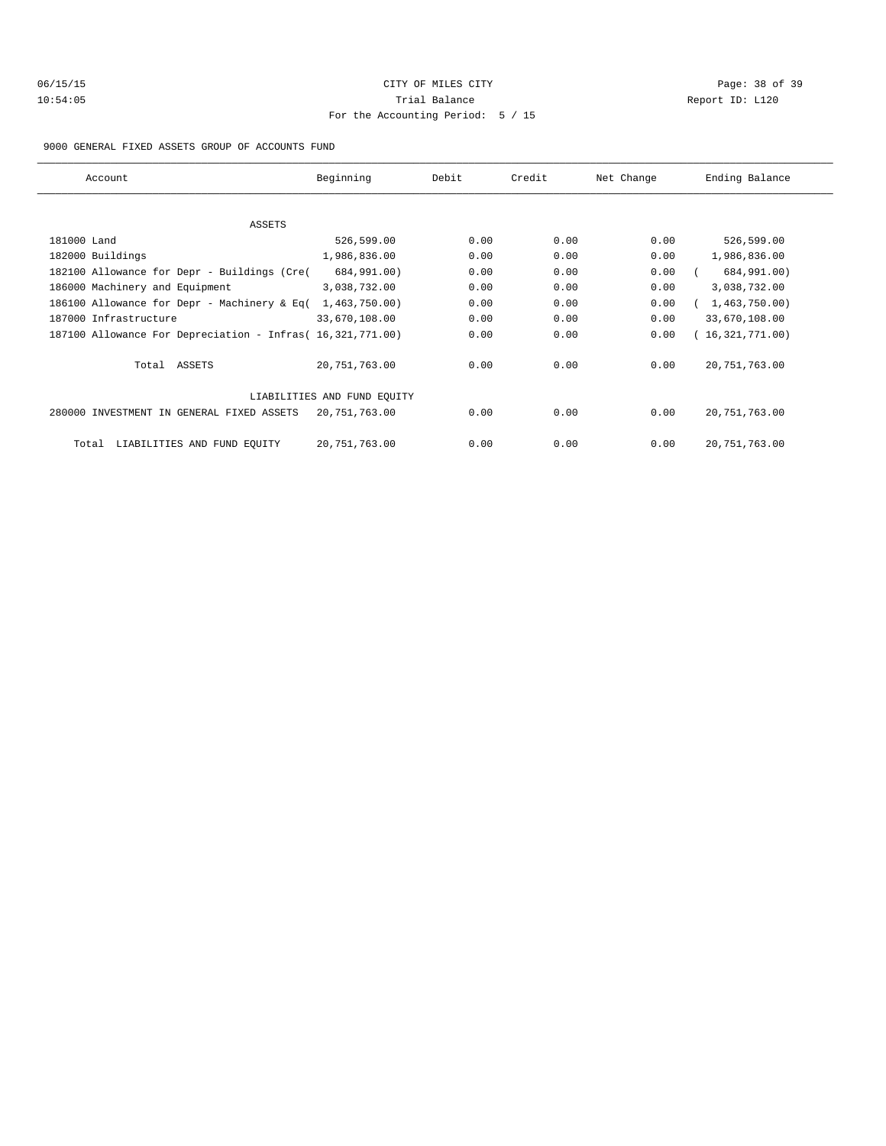# 06/15/15 Page: 38 of 39 10:54:05 Trial Balance Report ID: L120 For the Accounting Period: 5 / 15

#### 9000 GENERAL FIXED ASSETS GROUP OF ACCOUNTS FUND

| Account                                                    | Beginning                   | Debit | Credit | Net Change | Ending Balance  |
|------------------------------------------------------------|-----------------------------|-------|--------|------------|-----------------|
|                                                            |                             |       |        |            |                 |
| ASSETS                                                     |                             |       |        |            |                 |
| 181000 Land                                                | 526,599.00                  | 0.00  | 0.00   | 0.00       | 526,599.00      |
| 182000 Buildings                                           | 1,986,836.00                | 0.00  | 0.00   | 0.00       | 1,986,836.00    |
| 182100 Allowance for Depr - Buildings (Cre(                | 684,991.00)                 | 0.00  | 0.00   | 0.00       | 684,991.00)     |
| 186000 Machinery and Equipment                             | 3,038,732.00                | 0.00  | 0.00   | 0.00       | 3,038,732.00    |
| 186100 Allowance for Depr - Machinery & Eq(                | 1,463,750.00)               | 0.00  | 0.00   | 0.00       | 1,463,750.00)   |
| 187000 Infrastructure                                      | 33,670,108.00               | 0.00  | 0.00   | 0.00       | 33,670,108.00   |
| 187100 Allowance For Depreciation - Infras( 16,321,771.00) |                             | 0.00  | 0.00   | 0.00       | (16,321,771.00) |
| Total ASSETS                                               | 20,751,763.00               | 0.00  | 0.00   | 0.00       | 20, 751, 763.00 |
|                                                            | LIABILITIES AND FUND EQUITY |       |        |            |                 |
| 280000 INVESTMENT IN GENERAL FIXED ASSETS                  | 20,751,763.00               | 0.00  | 0.00   | 0.00       | 20, 751, 763.00 |
| LIABILITIES AND FUND EQUITY<br>Total                       | 20,751,763.00               | 0.00  | 0.00   | 0.00       | 20, 751, 763.00 |